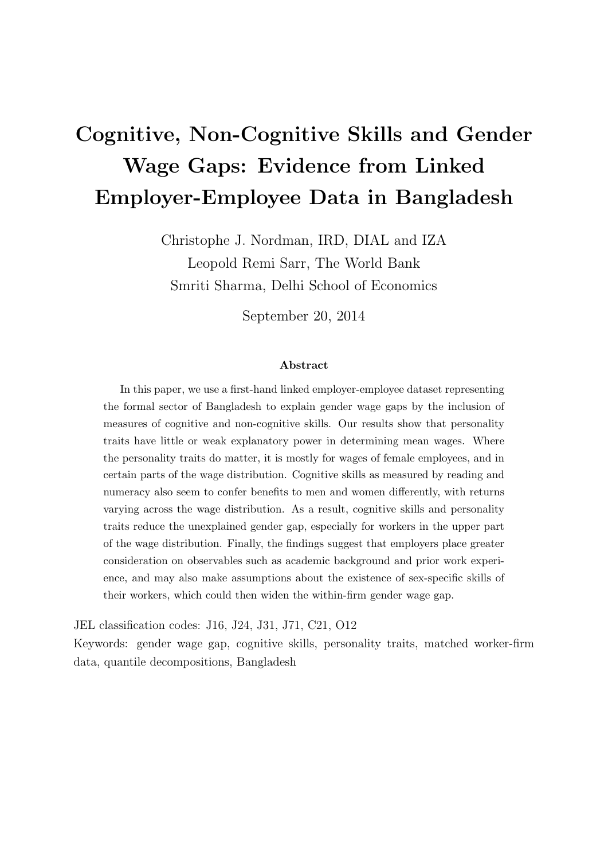# Cognitive, Non-Cognitive Skills and Gender Wage Gaps: Evidence from Linked Employer-Employee Data in Bangladesh

Christophe J. Nordman, IRD, DIAL and IZA Leopold Remi Sarr, The World Bank Smriti Sharma, Delhi School of Economics

September 20, 2014

#### Abstract

In this paper, we use a first-hand linked employer-employee dataset representing the formal sector of Bangladesh to explain gender wage gaps by the inclusion of measures of cognitive and non-cognitive skills. Our results show that personality traits have little or weak explanatory power in determining mean wages. Where the personality traits do matter, it is mostly for wages of female employees, and in certain parts of the wage distribution. Cognitive skills as measured by reading and numeracy also seem to confer benefits to men and women differently, with returns varying across the wage distribution. As a result, cognitive skills and personality traits reduce the unexplained gender gap, especially for workers in the upper part of the wage distribution. Finally, the findings suggest that employers place greater consideration on observables such as academic background and prior work experience, and may also make assumptions about the existence of sex-specific skills of their workers, which could then widen the within-firm gender wage gap.

JEL classification codes: J16, J24, J31, J71, C21, O12

Keywords: gender wage gap, cognitive skills, personality traits, matched worker-firm data, quantile decompositions, Bangladesh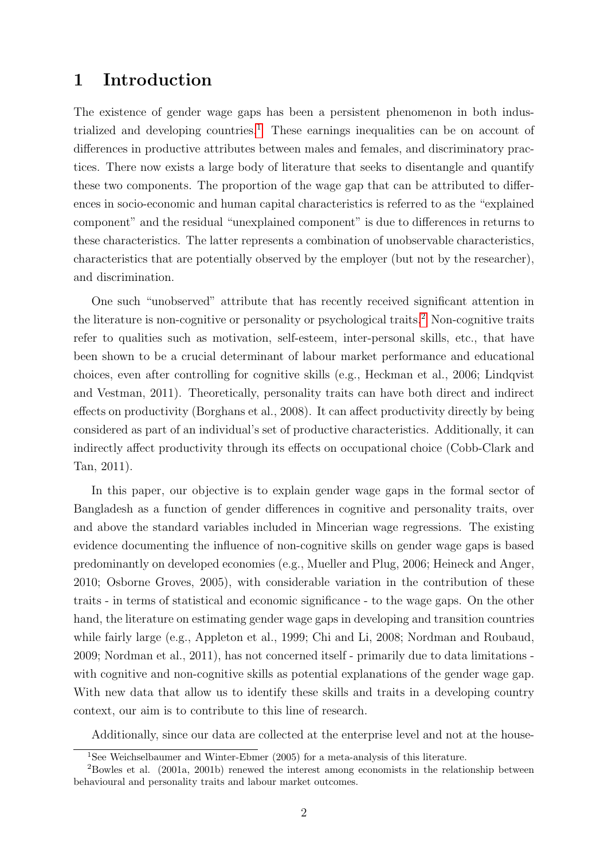## 1 Introduction

The existence of gender wage gaps has been a persistent phenomenon in both indus-trialized and developing countries.<sup>[1](#page-1-0)</sup> These earnings inequalities can be on account of differences in productive attributes between males and females, and discriminatory practices. There now exists a large body of literature that seeks to disentangle and quantify these two components. The proportion of the wage gap that can be attributed to differences in socio-economic and human capital characteristics is referred to as the "explained component" and the residual "unexplained component" is due to differences in returns to these characteristics. The latter represents a combination of unobservable characteristics, characteristics that are potentially observed by the employer (but not by the researcher), and discrimination.

One such "unobserved" attribute that has recently received significant attention in the literature is non-cognitive or personality or psychological traits.<sup>[2](#page-1-1)</sup> Non-cognitive traits refer to qualities such as motivation, self-esteem, inter-personal skills, etc., that have been shown to be a crucial determinant of labour market performance and educational choices, even after controlling for cognitive skills (e.g., Heckman et al., 2006; Lindqvist and Vestman, 2011). Theoretically, personality traits can have both direct and indirect effects on productivity (Borghans et al., 2008). It can affect productivity directly by being considered as part of an individual's set of productive characteristics. Additionally, it can indirectly affect productivity through its effects on occupational choice (Cobb-Clark and Tan, 2011).

In this paper, our objective is to explain gender wage gaps in the formal sector of Bangladesh as a function of gender differences in cognitive and personality traits, over and above the standard variables included in Mincerian wage regressions. The existing evidence documenting the influence of non-cognitive skills on gender wage gaps is based predominantly on developed economies (e.g., Mueller and Plug, 2006; Heineck and Anger, 2010; Osborne Groves, 2005), with considerable variation in the contribution of these traits - in terms of statistical and economic significance - to the wage gaps. On the other hand, the literature on estimating gender wage gaps in developing and transition countries while fairly large (e.g., Appleton et al., 1999; Chi and Li, 2008; Nordman and Roubaud, 2009; Nordman et al., 2011), has not concerned itself - primarily due to data limitations with cognitive and non-cognitive skills as potential explanations of the gender wage gap. With new data that allow us to identify these skills and traits in a developing country context, our aim is to contribute to this line of research.

Additionally, since our data are collected at the enterprise level and not at the house-

<span id="page-1-1"></span><span id="page-1-0"></span><sup>&</sup>lt;sup>1</sup>See Weichselbaumer and Winter-Ebmer (2005) for a meta-analysis of this literature.

 ${}^{2}$ Bowles et al. (2001a, 2001b) renewed the interest among economists in the relationship between behavioural and personality traits and labour market outcomes.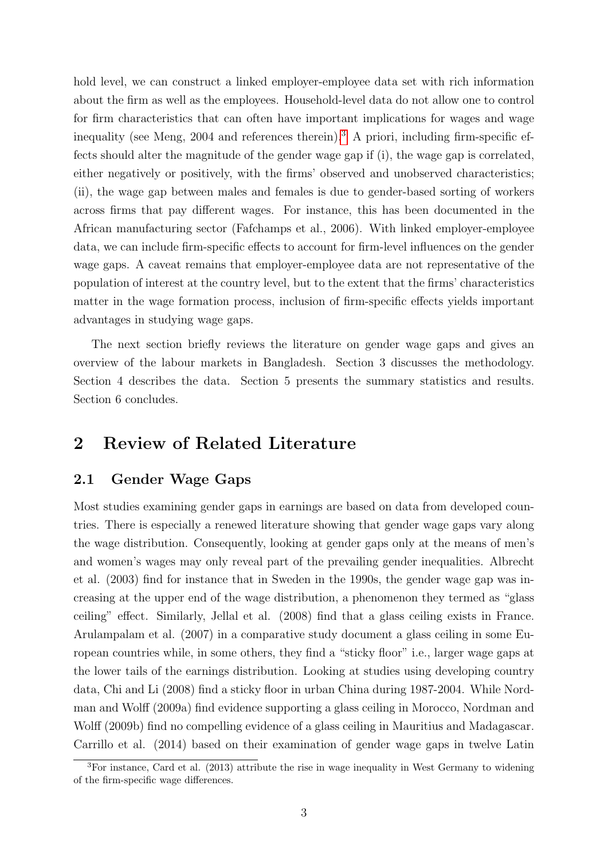hold level, we can construct a linked employer-employee data set with rich information about the firm as well as the employees. Household-level data do not allow one to control for firm characteristics that can often have important implications for wages and wage inequality (see Meng, 2004 and references therein).<sup>[3](#page-2-0)</sup> A priori, including firm-specific effects should alter the magnitude of the gender wage gap if (i), the wage gap is correlated, either negatively or positively, with the firms' observed and unobserved characteristics; (ii), the wage gap between males and females is due to gender-based sorting of workers across firms that pay different wages. For instance, this has been documented in the African manufacturing sector (Fafchamps et al., 2006). With linked employer-employee data, we can include firm-specific effects to account for firm-level influences on the gender wage gaps. A caveat remains that employer-employee data are not representative of the population of interest at the country level, but to the extent that the firms' characteristics matter in the wage formation process, inclusion of firm-specific effects yields important advantages in studying wage gaps.

The next section briefly reviews the literature on gender wage gaps and gives an overview of the labour markets in Bangladesh. Section 3 discusses the methodology. Section 4 describes the data. Section 5 presents the summary statistics and results. Section 6 concludes.

## 2 Review of Related Literature

#### 2.1 Gender Wage Gaps

Most studies examining gender gaps in earnings are based on data from developed countries. There is especially a renewed literature showing that gender wage gaps vary along the wage distribution. Consequently, looking at gender gaps only at the means of men's and women's wages may only reveal part of the prevailing gender inequalities. Albrecht et al. (2003) find for instance that in Sweden in the 1990s, the gender wage gap was increasing at the upper end of the wage distribution, a phenomenon they termed as "glass ceiling" effect. Similarly, Jellal et al. (2008) find that a glass ceiling exists in France. Arulampalam et al. (2007) in a comparative study document a glass ceiling in some European countries while, in some others, they find a "sticky floor" i.e., larger wage gaps at the lower tails of the earnings distribution. Looking at studies using developing country data, Chi and Li (2008) find a sticky floor in urban China during 1987-2004. While Nordman and Wolff (2009a) find evidence supporting a glass ceiling in Morocco, Nordman and Wolff (2009b) find no compelling evidence of a glass ceiling in Mauritius and Madagascar. Carrillo et al. (2014) based on their examination of gender wage gaps in twelve Latin

<span id="page-2-0"></span> ${}^{3}$ For instance, Card et al. (2013) attribute the rise in wage inequality in West Germany to widening of the firm-specific wage differences.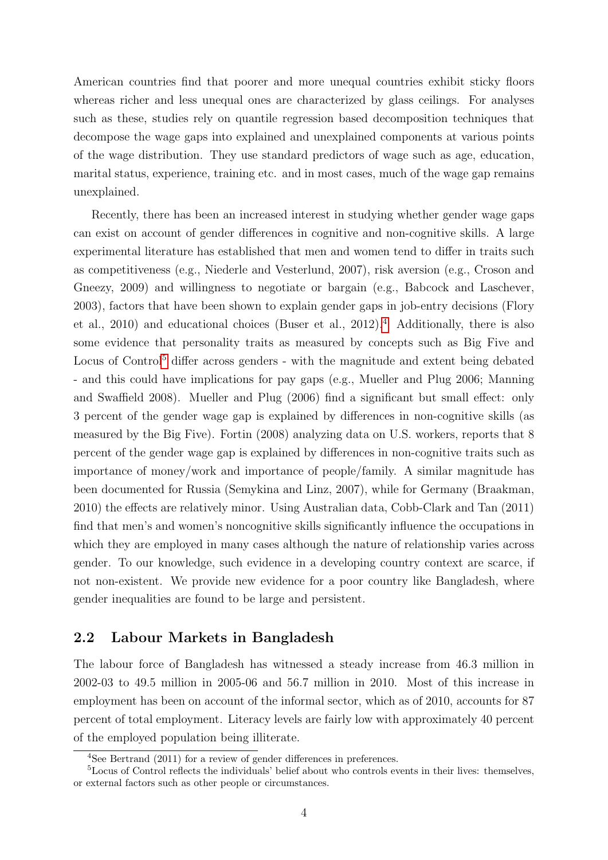American countries find that poorer and more unequal countries exhibit sticky floors whereas richer and less unequal ones are characterized by glass ceilings. For analyses such as these, studies rely on quantile regression based decomposition techniques that decompose the wage gaps into explained and unexplained components at various points of the wage distribution. They use standard predictors of wage such as age, education, marital status, experience, training etc. and in most cases, much of the wage gap remains unexplained.

Recently, there has been an increased interest in studying whether gender wage gaps can exist on account of gender differences in cognitive and non-cognitive skills. A large experimental literature has established that men and women tend to differ in traits such as competitiveness (e.g., Niederle and Vesterlund, 2007), risk aversion (e.g., Croson and Gneezy, 2009) and willingness to negotiate or bargain (e.g., Babcock and Laschever, 2003), factors that have been shown to explain gender gaps in job-entry decisions (Flory et al., 2010) and educational choices (Buser et al.,  $2012$ ).<sup>[4](#page-3-0)</sup> Additionally, there is also some evidence that personality traits as measured by concepts such as Big Five and Locus of Control<sup>[5](#page-3-1)</sup> differ across genders - with the magnitude and extent being debated - and this could have implications for pay gaps (e.g., Mueller and Plug 2006; Manning and Swaffield 2008). Mueller and Plug (2006) find a significant but small effect: only 3 percent of the gender wage gap is explained by differences in non-cognitive skills (as measured by the Big Five). Fortin (2008) analyzing data on U.S. workers, reports that 8 percent of the gender wage gap is explained by differences in non-cognitive traits such as importance of money/work and importance of people/family. A similar magnitude has been documented for Russia (Semykina and Linz, 2007), while for Germany (Braakman, 2010) the effects are relatively minor. Using Australian data, Cobb-Clark and Tan (2011) find that men's and women's noncognitive skills significantly influence the occupations in which they are employed in many cases although the nature of relationship varies across gender. To our knowledge, such evidence in a developing country context are scarce, if not non-existent. We provide new evidence for a poor country like Bangladesh, where gender inequalities are found to be large and persistent.

#### 2.2 Labour Markets in Bangladesh

The labour force of Bangladesh has witnessed a steady increase from 46.3 million in 2002-03 to 49.5 million in 2005-06 and 56.7 million in 2010. Most of this increase in employment has been on account of the informal sector, which as of 2010, accounts for 87 percent of total employment. Literacy levels are fairly low with approximately 40 percent of the employed population being illiterate.

<span id="page-3-1"></span><span id="page-3-0"></span><sup>&</sup>lt;sup>4</sup>See Bertrand (2011) for a review of gender differences in preferences.

<sup>&</sup>lt;sup>5</sup>Locus of Control reflects the individuals' belief about who controls events in their lives: themselves, or external factors such as other people or circumstances.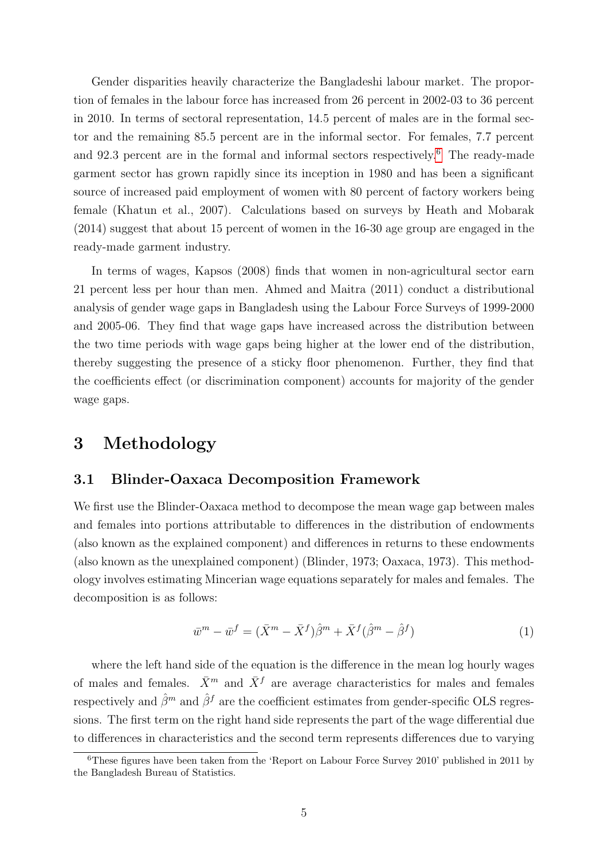Gender disparities heavily characterize the Bangladeshi labour market. The proportion of females in the labour force has increased from 26 percent in 2002-03 to 36 percent in 2010. In terms of sectoral representation, 14.5 percent of males are in the formal sector and the remaining 85.5 percent are in the informal sector. For females, 7.7 percent and 92.3 percent are in the formal and informal sectors respectively.[6](#page-4-0) The ready-made garment sector has grown rapidly since its inception in 1980 and has been a significant source of increased paid employment of women with 80 percent of factory workers being female (Khatun et al., 2007). Calculations based on surveys by Heath and Mobarak (2014) suggest that about 15 percent of women in the 16-30 age group are engaged in the ready-made garment industry.

In terms of wages, Kapsos (2008) finds that women in non-agricultural sector earn 21 percent less per hour than men. Ahmed and Maitra (2011) conduct a distributional analysis of gender wage gaps in Bangladesh using the Labour Force Surveys of 1999-2000 and 2005-06. They find that wage gaps have increased across the distribution between the two time periods with wage gaps being higher at the lower end of the distribution, thereby suggesting the presence of a sticky floor phenomenon. Further, they find that the coefficients effect (or discrimination component) accounts for majority of the gender wage gaps.

## 3 Methodology

#### 3.1 Blinder-Oaxaca Decomposition Framework

We first use the Blinder-Oaxaca method to decompose the mean wage gap between males and females into portions attributable to differences in the distribution of endowments (also known as the explained component) and differences in returns to these endowments (also known as the unexplained component) (Blinder, 1973; Oaxaca, 1973). This methodology involves estimating Mincerian wage equations separately for males and females. The decomposition is as follows:

$$
\bar{w}^m - \bar{w}^f = (\bar{X}^m - \bar{X}^f)\hat{\beta}^m + \bar{X}^f(\hat{\beta}^m - \hat{\beta}^f) \tag{1}
$$

where the left hand side of the equation is the difference in the mean log hourly wages of males and females.  $\bar{X}^m$  and  $\bar{X}^f$  are average characteristics for males and females respectively and  $\hat{\beta}^m$  and  $\hat{\beta}^f$  are the coefficient estimates from gender-specific OLS regressions. The first term on the right hand side represents the part of the wage differential due to differences in characteristics and the second term represents differences due to varying

<span id="page-4-0"></span><sup>6</sup>These figures have been taken from the 'Report on Labour Force Survey 2010' published in 2011 by the Bangladesh Bureau of Statistics.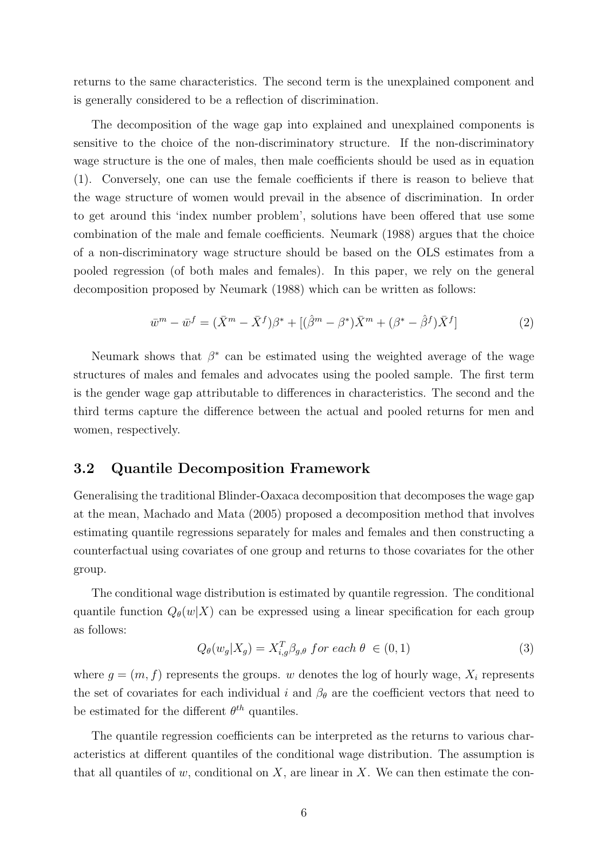returns to the same characteristics. The second term is the unexplained component and is generally considered to be a reflection of discrimination.

The decomposition of the wage gap into explained and unexplained components is sensitive to the choice of the non-discriminatory structure. If the non-discriminatory wage structure is the one of males, then male coefficients should be used as in equation (1). Conversely, one can use the female coefficients if there is reason to believe that the wage structure of women would prevail in the absence of discrimination. In order to get around this 'index number problem', solutions have been offered that use some combination of the male and female coefficients. Neumark (1988) argues that the choice of a non-discriminatory wage structure should be based on the OLS estimates from a pooled regression (of both males and females). In this paper, we rely on the general decomposition proposed by Neumark (1988) which can be written as follows:

$$
\bar{w}^m - \bar{w}^f = (\bar{X}^m - \bar{X}^f)\beta^* + [(\hat{\beta}^m - \beta^*)\bar{X}^m + (\beta^* - \hat{\beta}^f)\bar{X}^f]
$$
(2)

Neumark shows that  $\beta^*$  can be estimated using the weighted average of the wage structures of males and females and advocates using the pooled sample. The first term is the gender wage gap attributable to differences in characteristics. The second and the third terms capture the difference between the actual and pooled returns for men and women, respectively.

#### 3.2 Quantile Decomposition Framework

Generalising the traditional Blinder-Oaxaca decomposition that decomposes the wage gap at the mean, Machado and Mata (2005) proposed a decomposition method that involves estimating quantile regressions separately for males and females and then constructing a counterfactual using covariates of one group and returns to those covariates for the other group.

The conditional wage distribution is estimated by quantile regression. The conditional quantile function  $Q_{\theta}(w|X)$  can be expressed using a linear specification for each group as follows:

$$
Q_{\theta}(w_g|X_g) = X_{i,g}^T \beta_{g,\theta} \text{ for each } \theta \in (0,1)
$$
\n(3)

where  $g = (m, f)$  represents the groups. w denotes the log of hourly wage,  $X_i$  represents the set of covariates for each individual i and  $\beta_{\theta}$  are the coefficient vectors that need to be estimated for the different  $\theta^{th}$  quantiles.

The quantile regression coefficients can be interpreted as the returns to various characteristics at different quantiles of the conditional wage distribution. The assumption is that all quantiles of  $w$ , conditional on  $X$ , are linear in  $X$ . We can then estimate the con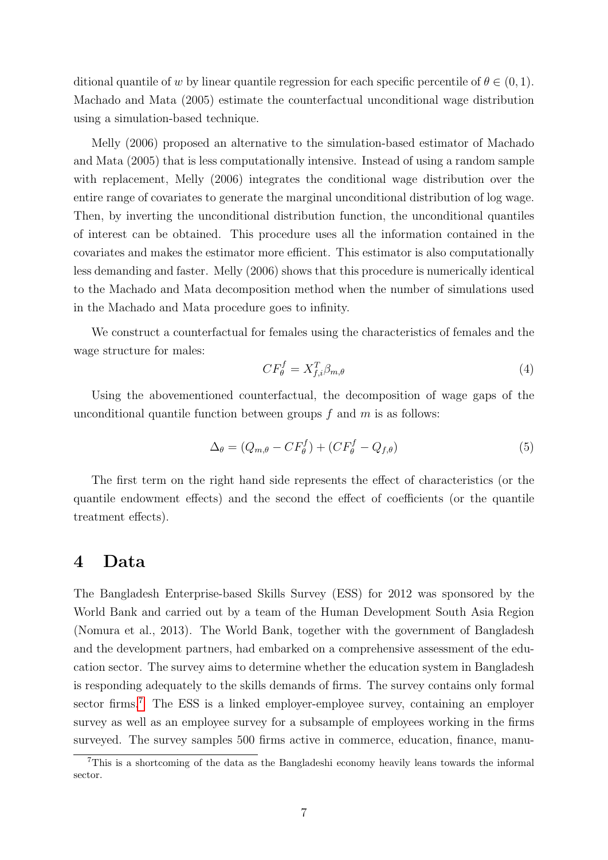ditional quantile of w by linear quantile regression for each specific percentile of  $\theta \in (0,1)$ . Machado and Mata (2005) estimate the counterfactual unconditional wage distribution using a simulation-based technique.

Melly (2006) proposed an alternative to the simulation-based estimator of Machado and Mata (2005) that is less computationally intensive. Instead of using a random sample with replacement, Melly (2006) integrates the conditional wage distribution over the entire range of covariates to generate the marginal unconditional distribution of log wage. Then, by inverting the unconditional distribution function, the unconditional quantiles of interest can be obtained. This procedure uses all the information contained in the covariates and makes the estimator more efficient. This estimator is also computationally less demanding and faster. Melly (2006) shows that this procedure is numerically identical to the Machado and Mata decomposition method when the number of simulations used in the Machado and Mata procedure goes to infinity.

We construct a counterfactual for females using the characteristics of females and the wage structure for males:

$$
CF_{\theta}^f = X_{f,i}^T \beta_{m,\theta} \tag{4}
$$

Using the abovementioned counterfactual, the decomposition of wage gaps of the unconditional quantile function between groups  $f$  and  $m$  is as follows:

$$
\Delta_{\theta} = (Q_{m,\theta} - CF_{\theta}^f) + (CF_{\theta}^f - Q_{f,\theta})
$$
\n<sup>(5)</sup>

The first term on the right hand side represents the effect of characteristics (or the quantile endowment effects) and the second the effect of coefficients (or the quantile treatment effects).

#### 4 Data

The Bangladesh Enterprise-based Skills Survey (ESS) for 2012 was sponsored by the World Bank and carried out by a team of the Human Development South Asia Region (Nomura et al., 2013). The World Bank, together with the government of Bangladesh and the development partners, had embarked on a comprehensive assessment of the education sector. The survey aims to determine whether the education system in Bangladesh is responding adequately to the skills demands of firms. The survey contains only formal sector firms.<sup>[7](#page-6-0)</sup> The ESS is a linked employer-employee survey, containing an employer survey as well as an employee survey for a subsample of employees working in the firms surveyed. The survey samples 500 firms active in commerce, education, finance, manu-

<span id="page-6-0"></span><sup>7</sup>This is a shortcoming of the data as the Bangladeshi economy heavily leans towards the informal sector.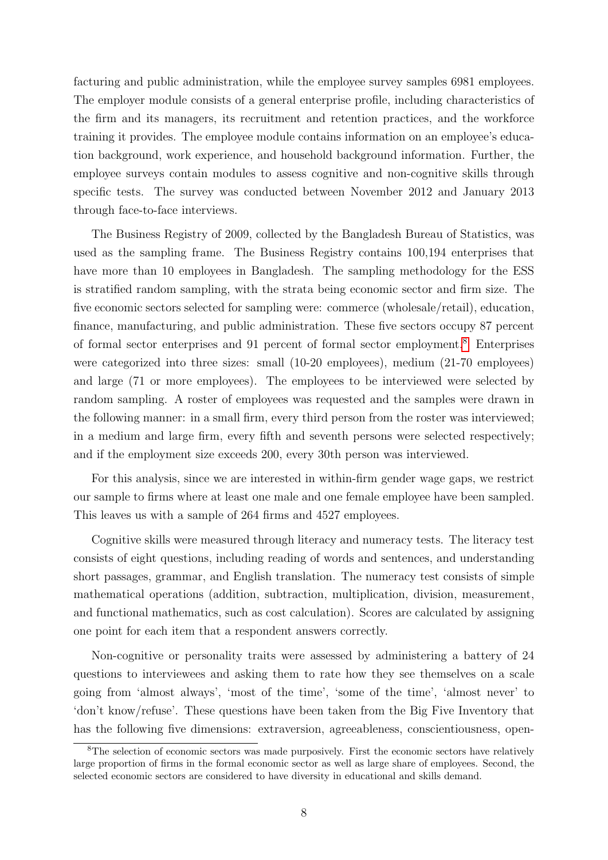facturing and public administration, while the employee survey samples 6981 employees. The employer module consists of a general enterprise profile, including characteristics of the firm and its managers, its recruitment and retention practices, and the workforce training it provides. The employee module contains information on an employee's education background, work experience, and household background information. Further, the employee surveys contain modules to assess cognitive and non-cognitive skills through specific tests. The survey was conducted between November 2012 and January 2013 through face-to-face interviews.

The Business Registry of 2009, collected by the Bangladesh Bureau of Statistics, was used as the sampling frame. The Business Registry contains 100,194 enterprises that have more than 10 employees in Bangladesh. The sampling methodology for the ESS is stratified random sampling, with the strata being economic sector and firm size. The five economic sectors selected for sampling were: commerce (wholesale/retail), education, finance, manufacturing, and public administration. These five sectors occupy 87 percent of formal sector enterprises and 91 percent of formal sector employment.[8](#page-7-0) Enterprises were categorized into three sizes: small (10-20 employees), medium (21-70 employees) and large (71 or more employees). The employees to be interviewed were selected by random sampling. A roster of employees was requested and the samples were drawn in the following manner: in a small firm, every third person from the roster was interviewed; in a medium and large firm, every fifth and seventh persons were selected respectively; and if the employment size exceeds 200, every 30th person was interviewed.

For this analysis, since we are interested in within-firm gender wage gaps, we restrict our sample to firms where at least one male and one female employee have been sampled. This leaves us with a sample of 264 firms and 4527 employees.

Cognitive skills were measured through literacy and numeracy tests. The literacy test consists of eight questions, including reading of words and sentences, and understanding short passages, grammar, and English translation. The numeracy test consists of simple mathematical operations (addition, subtraction, multiplication, division, measurement, and functional mathematics, such as cost calculation). Scores are calculated by assigning one point for each item that a respondent answers correctly.

Non-cognitive or personality traits were assessed by administering a battery of 24 questions to interviewees and asking them to rate how they see themselves on a scale going from 'almost always', 'most of the time', 'some of the time', 'almost never' to 'don't know/refuse'. These questions have been taken from the Big Five Inventory that has the following five dimensions: extraversion, agreeableness, conscientiousness, open-

<span id="page-7-0"></span><sup>&</sup>lt;sup>8</sup>The selection of economic sectors was made purposively. First the economic sectors have relatively large proportion of firms in the formal economic sector as well as large share of employees. Second, the selected economic sectors are considered to have diversity in educational and skills demand.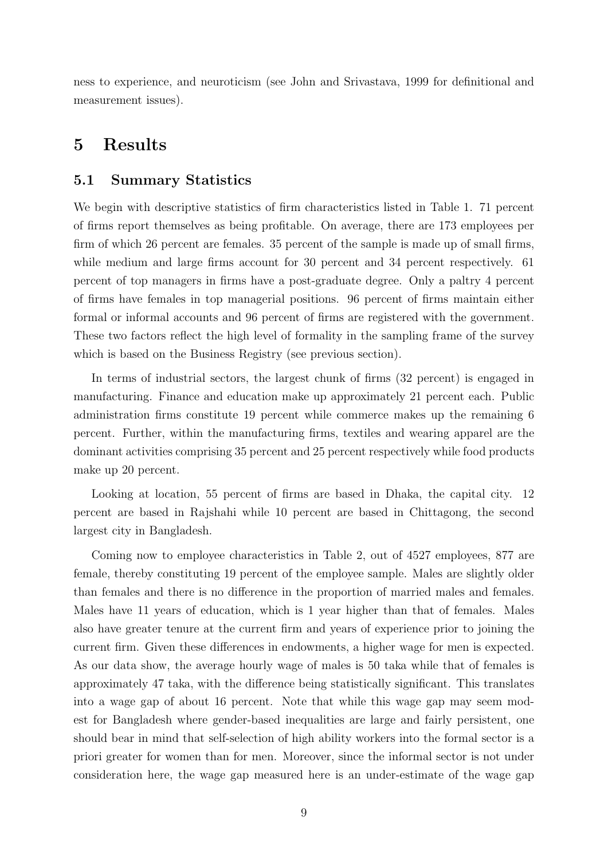ness to experience, and neuroticism (see John and Srivastava, 1999 for definitional and measurement issues).

## 5 Results

#### 5.1 Summary Statistics

We begin with descriptive statistics of firm characteristics listed in Table 1. 71 percent of firms report themselves as being profitable. On average, there are 173 employees per firm of which 26 percent are females. 35 percent of the sample is made up of small firms, while medium and large firms account for 30 percent and 34 percent respectively. 61 percent of top managers in firms have a post-graduate degree. Only a paltry 4 percent of firms have females in top managerial positions. 96 percent of firms maintain either formal or informal accounts and 96 percent of firms are registered with the government. These two factors reflect the high level of formality in the sampling frame of the survey which is based on the Business Registry (see previous section).

In terms of industrial sectors, the largest chunk of firms (32 percent) is engaged in manufacturing. Finance and education make up approximately 21 percent each. Public administration firms constitute 19 percent while commerce makes up the remaining 6 percent. Further, within the manufacturing firms, textiles and wearing apparel are the dominant activities comprising 35 percent and 25 percent respectively while food products make up 20 percent.

Looking at location, 55 percent of firms are based in Dhaka, the capital city. 12 percent are based in Rajshahi while 10 percent are based in Chittagong, the second largest city in Bangladesh.

Coming now to employee characteristics in Table 2, out of 4527 employees, 877 are female, thereby constituting 19 percent of the employee sample. Males are slightly older than females and there is no difference in the proportion of married males and females. Males have 11 years of education, which is 1 year higher than that of females. Males also have greater tenure at the current firm and years of experience prior to joining the current firm. Given these differences in endowments, a higher wage for men is expected. As our data show, the average hourly wage of males is 50 taka while that of females is approximately 47 taka, with the difference being statistically significant. This translates into a wage gap of about 16 percent. Note that while this wage gap may seem modest for Bangladesh where gender-based inequalities are large and fairly persistent, one should bear in mind that self-selection of high ability workers into the formal sector is a priori greater for women than for men. Moreover, since the informal sector is not under consideration here, the wage gap measured here is an under-estimate of the wage gap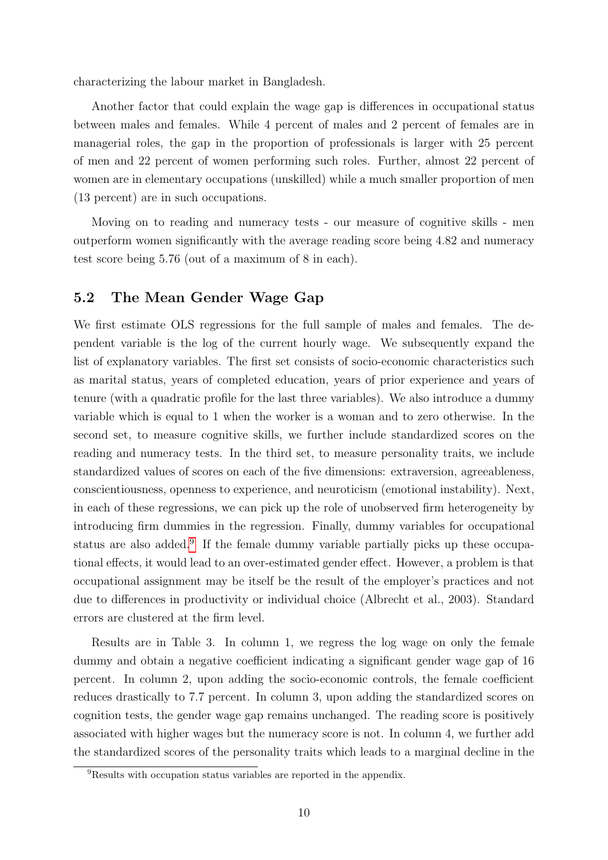characterizing the labour market in Bangladesh.

Another factor that could explain the wage gap is differences in occupational status between males and females. While 4 percent of males and 2 percent of females are in managerial roles, the gap in the proportion of professionals is larger with 25 percent of men and 22 percent of women performing such roles. Further, almost 22 percent of women are in elementary occupations (unskilled) while a much smaller proportion of men (13 percent) are in such occupations.

Moving on to reading and numeracy tests - our measure of cognitive skills - men outperform women significantly with the average reading score being 4.82 and numeracy test score being 5.76 (out of a maximum of 8 in each).

#### 5.2 The Mean Gender Wage Gap

We first estimate OLS regressions for the full sample of males and females. The dependent variable is the log of the current hourly wage. We subsequently expand the list of explanatory variables. The first set consists of socio-economic characteristics such as marital status, years of completed education, years of prior experience and years of tenure (with a quadratic profile for the last three variables). We also introduce a dummy variable which is equal to 1 when the worker is a woman and to zero otherwise. In the second set, to measure cognitive skills, we further include standardized scores on the reading and numeracy tests. In the third set, to measure personality traits, we include standardized values of scores on each of the five dimensions: extraversion, agreeableness, conscientiousness, openness to experience, and neuroticism (emotional instability). Next, in each of these regressions, we can pick up the role of unobserved firm heterogeneity by introducing firm dummies in the regression. Finally, dummy variables for occupational status are also added.<sup>[9](#page-9-0)</sup> If the female dummy variable partially picks up these occupational effects, it would lead to an over-estimated gender effect. However, a problem is that occupational assignment may be itself be the result of the employer's practices and not due to differences in productivity or individual choice (Albrecht et al., 2003). Standard errors are clustered at the firm level.

Results are in Table 3. In column 1, we regress the log wage on only the female dummy and obtain a negative coefficient indicating a significant gender wage gap of 16 percent. In column 2, upon adding the socio-economic controls, the female coefficient reduces drastically to 7.7 percent. In column 3, upon adding the standardized scores on cognition tests, the gender wage gap remains unchanged. The reading score is positively associated with higher wages but the numeracy score is not. In column 4, we further add the standardized scores of the personality traits which leads to a marginal decline in the

<span id="page-9-0"></span><sup>&</sup>lt;sup>9</sup>Results with occupation status variables are reported in the appendix.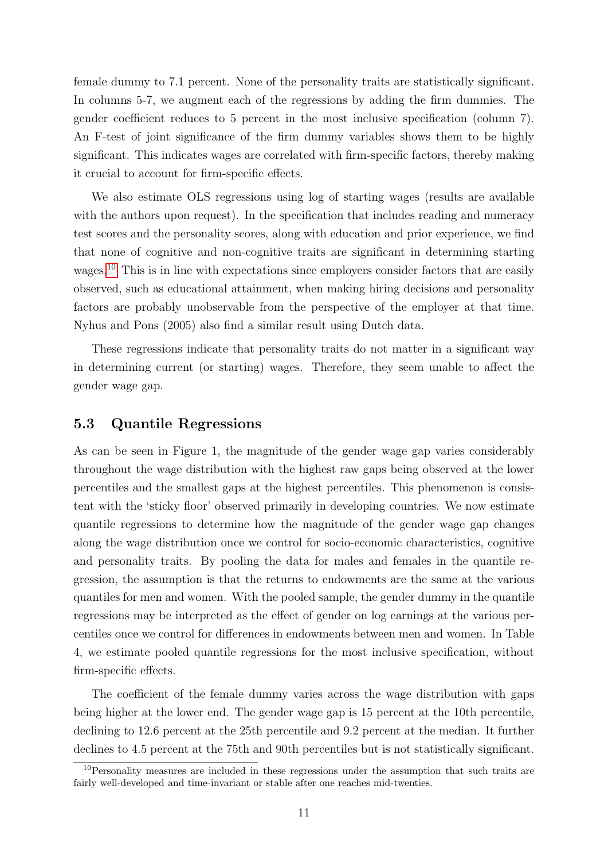female dummy to 7.1 percent. None of the personality traits are statistically significant. In columns 5-7, we augment each of the regressions by adding the firm dummies. The gender coefficient reduces to 5 percent in the most inclusive specification (column 7). An F-test of joint significance of the firm dummy variables shows them to be highly significant. This indicates wages are correlated with firm-specific factors, thereby making it crucial to account for firm-specific effects.

We also estimate OLS regressions using log of starting wages (results are available with the authors upon request). In the specification that includes reading and numeracy test scores and the personality scores, along with education and prior experience, we find that none of cognitive and non-cognitive traits are significant in determining starting wages.<sup>[10](#page-10-0)</sup> This is in line with expectations since employers consider factors that are easily observed, such as educational attainment, when making hiring decisions and personality factors are probably unobservable from the perspective of the employer at that time. Nyhus and Pons (2005) also find a similar result using Dutch data.

These regressions indicate that personality traits do not matter in a significant way in determining current (or starting) wages. Therefore, they seem unable to affect the gender wage gap.

#### 5.3 Quantile Regressions

As can be seen in Figure 1, the magnitude of the gender wage gap varies considerably throughout the wage distribution with the highest raw gaps being observed at the lower percentiles and the smallest gaps at the highest percentiles. This phenomenon is consistent with the 'sticky floor' observed primarily in developing countries. We now estimate quantile regressions to determine how the magnitude of the gender wage gap changes along the wage distribution once we control for socio-economic characteristics, cognitive and personality traits. By pooling the data for males and females in the quantile regression, the assumption is that the returns to endowments are the same at the various quantiles for men and women. With the pooled sample, the gender dummy in the quantile regressions may be interpreted as the effect of gender on log earnings at the various percentiles once we control for differences in endowments between men and women. In Table 4, we estimate pooled quantile regressions for the most inclusive specification, without firm-specific effects.

The coefficient of the female dummy varies across the wage distribution with gaps being higher at the lower end. The gender wage gap is 15 percent at the 10th percentile, declining to 12.6 percent at the 25th percentile and 9.2 percent at the median. It further declines to 4.5 percent at the 75th and 90th percentiles but is not statistically significant.

<span id="page-10-0"></span><sup>&</sup>lt;sup>10</sup>Personality measures are included in these regressions under the assumption that such traits are fairly well-developed and time-invariant or stable after one reaches mid-twenties.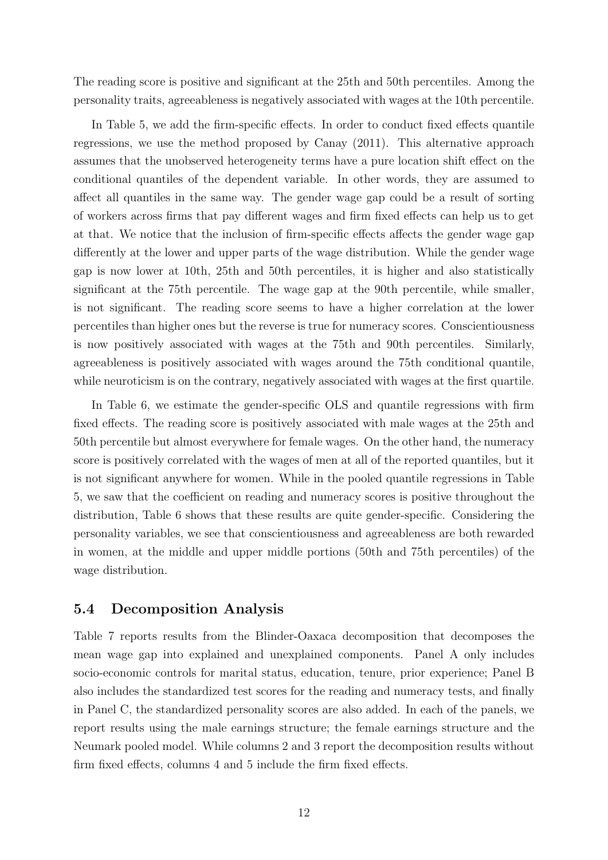The reading score is positive and significant at the 25th and 50th percentiles. Among the personality traits, agreeableness is negatively associated with wages at the 10th percentile.

In Table 5, we add the firm-specific effects. In order to conduct fixed effects quantile regressions, we use the method proposed by Canay (2011). This alternative approach assumes that the unobserved heterogeneity terms have a pure location shift effect on the conditional quantiles of the dependent variable. In other words, they are assumed to affect all quantiles in the same way. The gender wage gap could be a result of sorting of workers across firms that pay different wages and firm fixed effects can help us to get at that. We notice that the inclusion of firm-specific effects affects the gender wage gap differently at the lower and upper parts of the wage distribution. While the gender wage gap is now lower at 10th, 25th and 50th percentiles, it is higher and also statistically significant at the 75th percentile. The wage gap at the 90th percentile, while smaller, is not significant. The reading score seems to have a higher correlation at the lower percentiles than higher ones but the reverse is true for numeracy scores. Conscientiousness is now positively associated with wages at the 75th and 90th percentiles. Similarly, agreeableness is positively associated with wages around the 75th conditional quantile, while neuroticism is on the contrary, negatively associated with wages at the first quartile.

In Table 6, we estimate the gender-specific OLS and quantile regressions with firm fixed effects. The reading score is positively associated with male wages at the 25th and 50th percentile but almost everywhere for female wages. On the other hand, the numeracy score is positively correlated with the wages of men at all of the reported quantiles, but it is not significant anywhere for women. While in the pooled quantile regressions in Table 5, we saw that the coefficient on reading and numeracy scores is positive throughout the distribution, Table 6 shows that these results are quite gender-specific. Considering the personality variables, we see that conscientiousness and agreeableness are both rewarded in women, at the middle and upper middle portions (50th and 75th percentiles) of the wage distribution.

#### 5.4 Decomposition Analysis

Table 7 reports results from the Blinder-Oaxaca decomposition that decomposes the mean wage gap into explained and unexplained components. Panel A only includes socio-economic controls for marital status, education, tenure, prior experience; Panel B also includes the standardized test scores for the reading and numeracy tests, and finally in Panel C, the standardized personality scores are also added. In each of the panels, we report results using the male earnings structure; the female earnings structure and the Neumark pooled model. While columns 2 and 3 report the decomposition results without firm fixed effects, columns 4 and 5 include the firm fixed effects.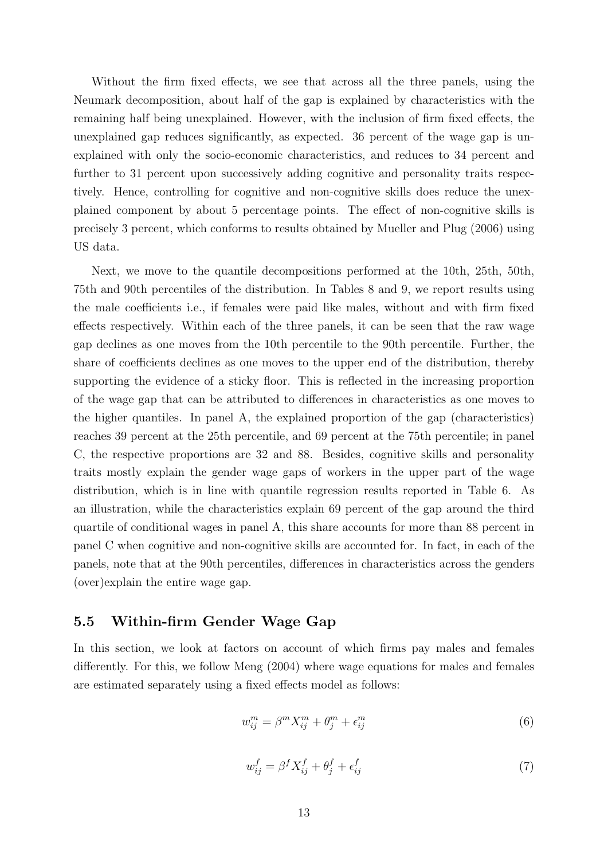Without the firm fixed effects, we see that across all the three panels, using the Neumark decomposition, about half of the gap is explained by characteristics with the remaining half being unexplained. However, with the inclusion of firm fixed effects, the unexplained gap reduces significantly, as expected. 36 percent of the wage gap is unexplained with only the socio-economic characteristics, and reduces to 34 percent and further to 31 percent upon successively adding cognitive and personality traits respectively. Hence, controlling for cognitive and non-cognitive skills does reduce the unexplained component by about 5 percentage points. The effect of non-cognitive skills is precisely 3 percent, which conforms to results obtained by Mueller and Plug (2006) using US data.

Next, we move to the quantile decompositions performed at the 10th, 25th, 50th, 75th and 90th percentiles of the distribution. In Tables 8 and 9, we report results using the male coefficients i.e., if females were paid like males, without and with firm fixed effects respectively. Within each of the three panels, it can be seen that the raw wage gap declines as one moves from the 10th percentile to the 90th percentile. Further, the share of coefficients declines as one moves to the upper end of the distribution, thereby supporting the evidence of a sticky floor. This is reflected in the increasing proportion of the wage gap that can be attributed to differences in characteristics as one moves to the higher quantiles. In panel A, the explained proportion of the gap (characteristics) reaches 39 percent at the 25th percentile, and 69 percent at the 75th percentile; in panel C, the respective proportions are 32 and 88. Besides, cognitive skills and personality traits mostly explain the gender wage gaps of workers in the upper part of the wage distribution, which is in line with quantile regression results reported in Table 6. As an illustration, while the characteristics explain 69 percent of the gap around the third quartile of conditional wages in panel A, this share accounts for more than 88 percent in panel C when cognitive and non-cognitive skills are accounted for. In fact, in each of the panels, note that at the 90th percentiles, differences in characteristics across the genders (over)explain the entire wage gap.

#### 5.5 Within-firm Gender Wage Gap

In this section, we look at factors on account of which firms pay males and females differently. For this, we follow Meng (2004) where wage equations for males and females are estimated separately using a fixed effects model as follows:

$$
w_{ij}^m = \beta^m X_{ij}^m + \theta_j^m + \epsilon_{ij}^m \tag{6}
$$

$$
w_{ij}^f = \beta^f X_{ij}^f + \theta_j^f + \epsilon_{ij}^f \tag{7}
$$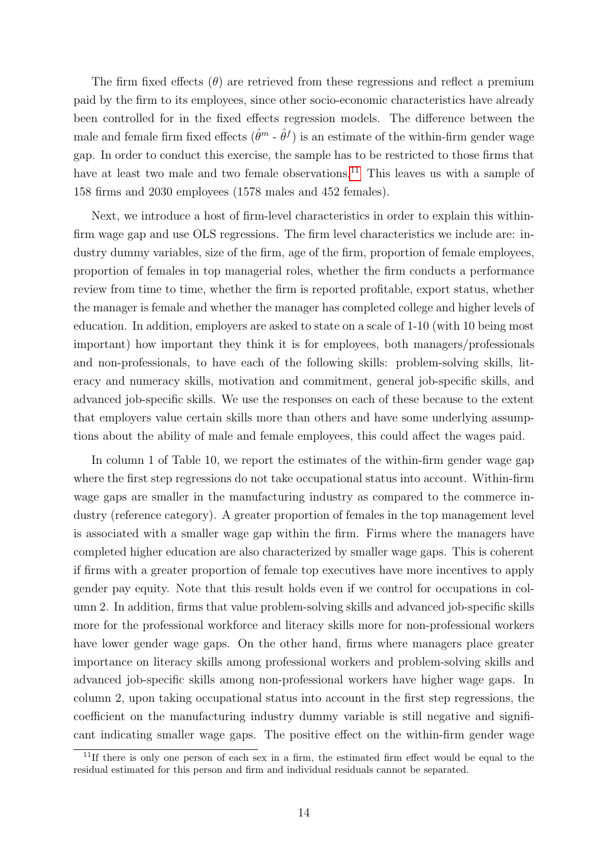The firm fixed effects  $(\theta)$  are retrieved from these regressions and reflect a premium paid by the firm to its employees, since other socio-economic characteristics have already been controlled for in the fixed effects regression models. The difference between the male and female firm fixed effects  $(\hat{\theta}^m \cdot \hat{\theta}^f)$  is an estimate of the within-firm gender wage gap. In order to conduct this exercise, the sample has to be restricted to those firms that have at least two male and two female observations.<sup>[11](#page-13-0)</sup> This leaves us with a sample of 158 firms and 2030 employees (1578 males and 452 females).

Next, we introduce a host of firm-level characteristics in order to explain this withinfirm wage gap and use OLS regressions. The firm level characteristics we include are: industry dummy variables, size of the firm, age of the firm, proportion of female employees, proportion of females in top managerial roles, whether the firm conducts a performance review from time to time, whether the firm is reported profitable, export status, whether the manager is female and whether the manager has completed college and higher levels of education. In addition, employers are asked to state on a scale of 1-10 (with 10 being most important) how important they think it is for employees, both managers/professionals and non-professionals, to have each of the following skills: problem-solving skills, literacy and numeracy skills, motivation and commitment, general job-specific skills, and advanced job-specific skills. We use the responses on each of these because to the extent that employers value certain skills more than others and have some underlying assumptions about the ability of male and female employees, this could affect the wages paid.

In column 1 of Table 10, we report the estimates of the within-firm gender wage gap where the first step regressions do not take occupational status into account. Within-firm wage gaps are smaller in the manufacturing industry as compared to the commerce industry (reference category). A greater proportion of females in the top management level is associated with a smaller wage gap within the firm. Firms where the managers have completed higher education are also characterized by smaller wage gaps. This is coherent if firms with a greater proportion of female top executives have more incentives to apply gender pay equity. Note that this result holds even if we control for occupations in column 2. In addition, firms that value problem-solving skills and advanced job-specific skills more for the professional workforce and literacy skills more for non-professional workers have lower gender wage gaps. On the other hand, firms where managers place greater importance on literacy skills among professional workers and problem-solving skills and advanced job-specific skills among non-professional workers have higher wage gaps. In column 2, upon taking occupational status into account in the first step regressions, the coefficient on the manufacturing industry dummy variable is still negative and significant indicating smaller wage gaps. The positive effect on the within-firm gender wage

<span id="page-13-0"></span> $11$ If there is only one person of each sex in a firm, the estimated firm effect would be equal to the residual estimated for this person and firm and individual residuals cannot be separated.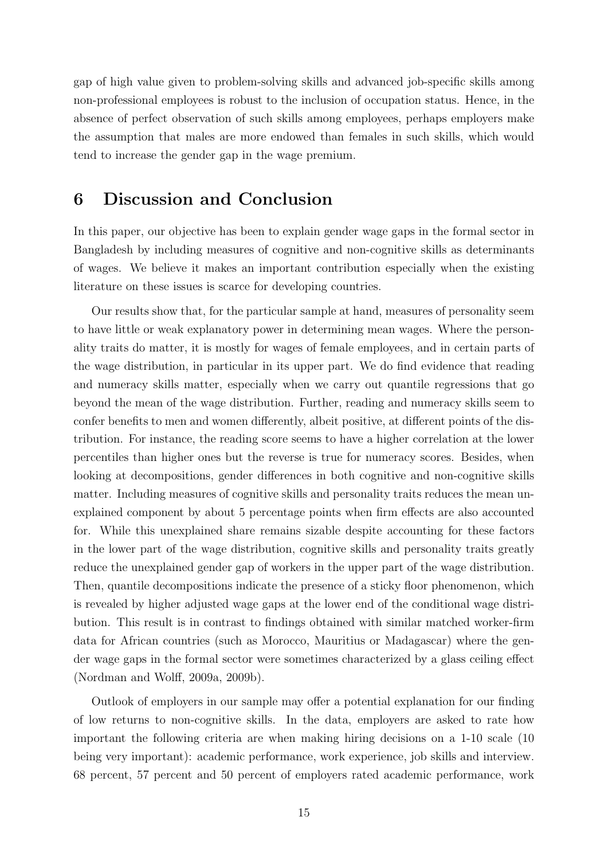gap of high value given to problem-solving skills and advanced job-specific skills among non-professional employees is robust to the inclusion of occupation status. Hence, in the absence of perfect observation of such skills among employees, perhaps employers make the assumption that males are more endowed than females in such skills, which would tend to increase the gender gap in the wage premium.

## 6 Discussion and Conclusion

In this paper, our objective has been to explain gender wage gaps in the formal sector in Bangladesh by including measures of cognitive and non-cognitive skills as determinants of wages. We believe it makes an important contribution especially when the existing literature on these issues is scarce for developing countries.

Our results show that, for the particular sample at hand, measures of personality seem to have little or weak explanatory power in determining mean wages. Where the personality traits do matter, it is mostly for wages of female employees, and in certain parts of the wage distribution, in particular in its upper part. We do find evidence that reading and numeracy skills matter, especially when we carry out quantile regressions that go beyond the mean of the wage distribution. Further, reading and numeracy skills seem to confer benefits to men and women differently, albeit positive, at different points of the distribution. For instance, the reading score seems to have a higher correlation at the lower percentiles than higher ones but the reverse is true for numeracy scores. Besides, when looking at decompositions, gender differences in both cognitive and non-cognitive skills matter. Including measures of cognitive skills and personality traits reduces the mean unexplained component by about 5 percentage points when firm effects are also accounted for. While this unexplained share remains sizable despite accounting for these factors in the lower part of the wage distribution, cognitive skills and personality traits greatly reduce the unexplained gender gap of workers in the upper part of the wage distribution. Then, quantile decompositions indicate the presence of a sticky floor phenomenon, which is revealed by higher adjusted wage gaps at the lower end of the conditional wage distribution. This result is in contrast to findings obtained with similar matched worker-firm data for African countries (such as Morocco, Mauritius or Madagascar) where the gender wage gaps in the formal sector were sometimes characterized by a glass ceiling effect (Nordman and Wolff, 2009a, 2009b).

Outlook of employers in our sample may offer a potential explanation for our finding of low returns to non-cognitive skills. In the data, employers are asked to rate how important the following criteria are when making hiring decisions on a 1-10 scale (10 being very important): academic performance, work experience, job skills and interview. 68 percent, 57 percent and 50 percent of employers rated academic performance, work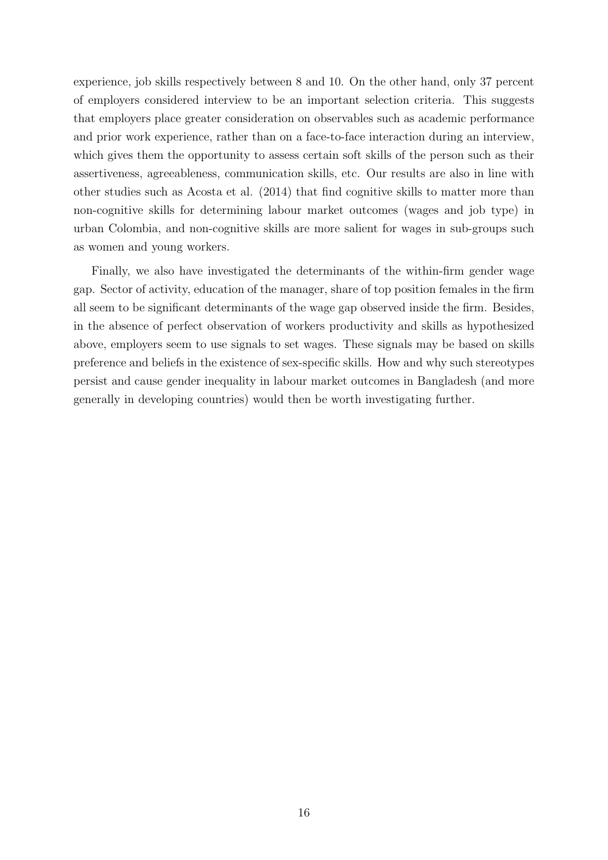experience, job skills respectively between 8 and 10. On the other hand, only 37 percent of employers considered interview to be an important selection criteria. This suggests that employers place greater consideration on observables such as academic performance and prior work experience, rather than on a face-to-face interaction during an interview, which gives them the opportunity to assess certain soft skills of the person such as their assertiveness, agreeableness, communication skills, etc. Our results are also in line with other studies such as Acosta et al. (2014) that find cognitive skills to matter more than non-cognitive skills for determining labour market outcomes (wages and job type) in urban Colombia, and non-cognitive skills are more salient for wages in sub-groups such as women and young workers.

Finally, we also have investigated the determinants of the within-firm gender wage gap. Sector of activity, education of the manager, share of top position females in the firm all seem to be significant determinants of the wage gap observed inside the firm. Besides, in the absence of perfect observation of workers productivity and skills as hypothesized above, employers seem to use signals to set wages. These signals may be based on skills preference and beliefs in the existence of sex-specific skills. How and why such stereotypes persist and cause gender inequality in labour market outcomes in Bangladesh (and more generally in developing countries) would then be worth investigating further.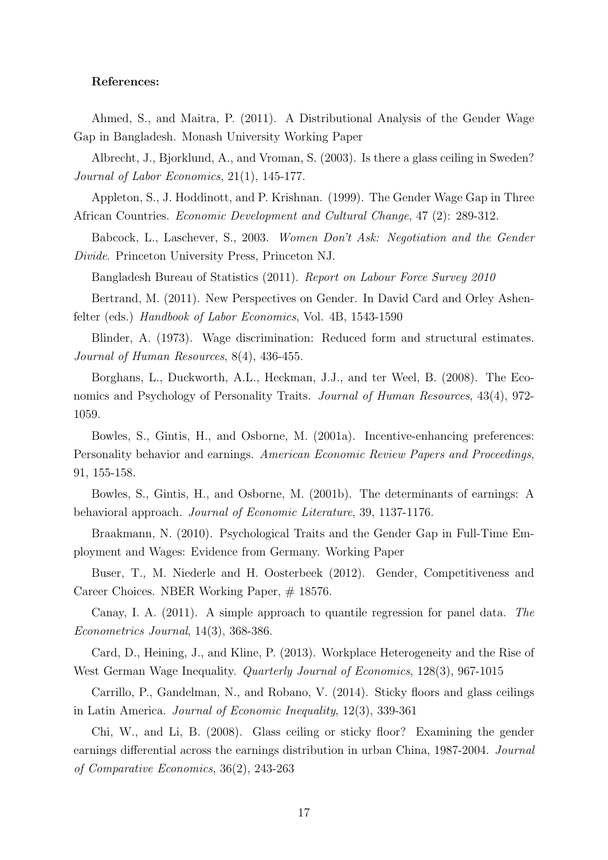#### References:

Ahmed, S., and Maitra, P. (2011). A Distributional Analysis of the Gender Wage Gap in Bangladesh. Monash University Working Paper

Albrecht, J., Bjorklund, A., and Vroman, S. (2003). Is there a glass ceiling in Sweden? Journal of Labor Economics, 21(1), 145-177.

Appleton, S., J. Hoddinott, and P. Krishnan. (1999). The Gender Wage Gap in Three African Countries. Economic Development and Cultural Change, 47 (2): 289-312.

Babcock, L., Laschever, S., 2003. Women Don't Ask: Negotiation and the Gender Divide. Princeton University Press, Princeton NJ.

Bangladesh Bureau of Statistics (2011). Report on Labour Force Survey 2010

Bertrand, M. (2011). New Perspectives on Gender. In David Card and Orley Ashenfelter (eds.) Handbook of Labor Economics, Vol. 4B, 1543-1590

Blinder, A. (1973). Wage discrimination: Reduced form and structural estimates. Journal of Human Resources, 8(4), 436-455.

Borghans, L., Duckworth, A.L., Heckman, J.J., and ter Weel, B. (2008). The Economics and Psychology of Personality Traits. Journal of Human Resources, 43(4), 972-1059.

Bowles, S., Gintis, H., and Osborne, M. (2001a). Incentive-enhancing preferences: Personality behavior and earnings. American Economic Review Papers and Proceedings, 91, 155-158.

Bowles, S., Gintis, H., and Osborne, M. (2001b). The determinants of earnings: A behavioral approach. Journal of Economic Literature, 39, 1137-1176.

Braakmann, N. (2010). Psychological Traits and the Gender Gap in Full-Time Employment and Wages: Evidence from Germany. Working Paper

Buser, T., M. Niederle and H. Oosterbeek (2012). Gender, Competitiveness and Career Choices. NBER Working Paper,  $\#$  18576.

Canay, I. A. (2011). A simple approach to quantile regression for panel data. The Econometrics Journal, 14(3), 368-386.

Card, D., Heining, J., and Kline, P. (2013). Workplace Heterogeneity and the Rise of West German Wage Inequality. Quarterly Journal of Economics, 128(3), 967-1015

Carrillo, P., Gandelman, N., and Robano, V. (2014). Sticky floors and glass ceilings in Latin America. Journal of Economic Inequality, 12(3), 339-361

Chi, W., and Li, B. (2008). Glass ceiling or sticky floor? Examining the gender earnings differential across the earnings distribution in urban China, 1987-2004. Journal of Comparative Economics, 36(2), 243-263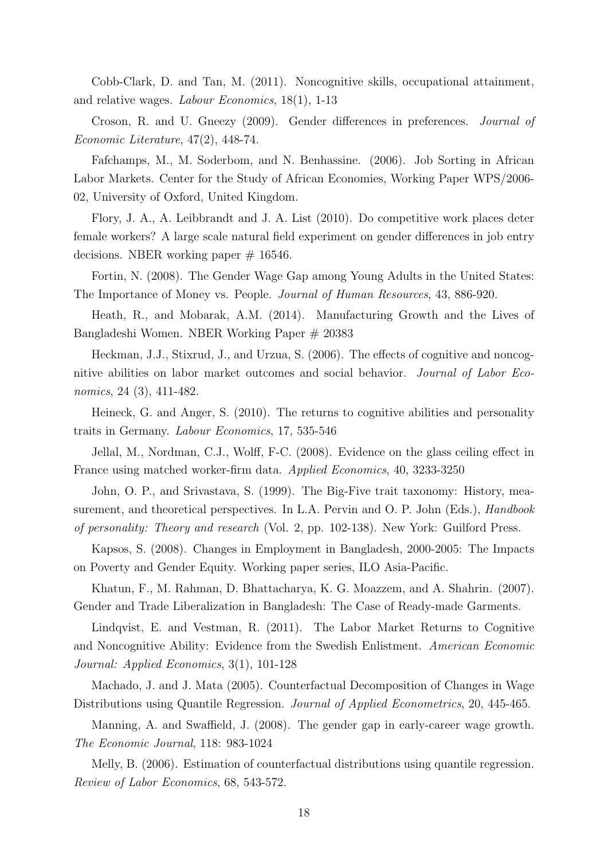Cobb-Clark, D. and Tan, M. (2011). Noncognitive skills, occupational attainment, and relative wages. Labour Economics, 18(1), 1-13

Croson, R. and U. Gneezy (2009). Gender differences in preferences. Journal of Economic Literature, 47(2), 448-74.

Fafchamps, M., M. Soderbom, and N. Benhassine. (2006). Job Sorting in African Labor Markets. Center for the Study of African Economies, Working Paper WPS/2006- 02, University of Oxford, United Kingdom.

Flory, J. A., A. Leibbrandt and J. A. List (2010). Do competitive work places deter female workers? A large scale natural field experiment on gender differences in job entry decisions. NBER working paper  $# 16546$ .

Fortin, N. (2008). The Gender Wage Gap among Young Adults in the United States: The Importance of Money vs. People. Journal of Human Resources, 43, 886-920.

Heath, R., and Mobarak, A.M. (2014). Manufacturing Growth and the Lives of Bangladeshi Women. NBER Working Paper # 20383

Heckman, J.J., Stixrud, J., and Urzua, S. (2006). The effects of cognitive and noncognitive abilities on labor market outcomes and social behavior. Journal of Labor Economics, 24 (3), 411-482.

Heineck, G. and Anger, S. (2010). The returns to cognitive abilities and personality traits in Germany. Labour Economics, 17, 535-546

Jellal, M., Nordman, C.J., Wolff, F-C. (2008). Evidence on the glass ceiling effect in France using matched worker-firm data. Applied Economics, 40, 3233-3250

John, O. P., and Srivastava, S. (1999). The Big-Five trait taxonomy: History, measurement, and theoretical perspectives. In L.A. Pervin and O. P. John (Eds.), *Handbook* of personality: Theory and research (Vol. 2, pp. 102-138). New York: Guilford Press.

Kapsos, S. (2008). Changes in Employment in Bangladesh, 2000-2005: The Impacts on Poverty and Gender Equity. Working paper series, ILO Asia-Pacific.

Khatun, F., M. Rahman, D. Bhattacharya, K. G. Moazzem, and A. Shahrin. (2007). Gender and Trade Liberalization in Bangladesh: The Case of Ready-made Garments.

Lindqvist, E. and Vestman, R. (2011). The Labor Market Returns to Cognitive and Noncognitive Ability: Evidence from the Swedish Enlistment. American Economic Journal: Applied Economics, 3(1), 101-128

Machado, J. and J. Mata (2005). Counterfactual Decomposition of Changes in Wage Distributions using Quantile Regression. *Journal of Applied Econometrics*, 20, 445-465.

Manning, A. and Swaffield, J. (2008). The gender gap in early-career wage growth. The Economic Journal, 118: 983-1024

Melly, B. (2006). Estimation of counterfactual distributions using quantile regression. Review of Labor Economics, 68, 543-572.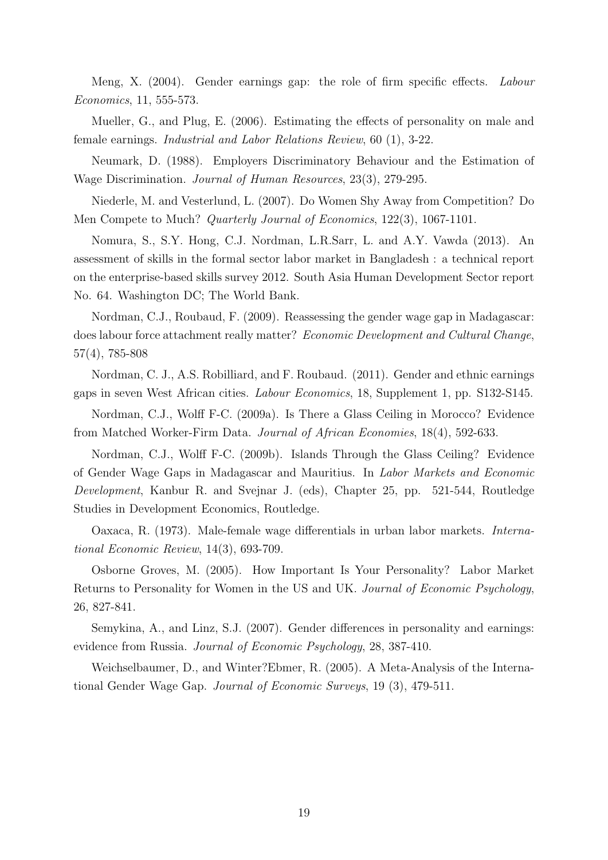Meng, X. (2004). Gender earnings gap: the role of firm specific effects. Labour Economics, 11, 555-573.

Mueller, G., and Plug, E. (2006). Estimating the effects of personality on male and female earnings. Industrial and Labor Relations Review, 60 (1), 3-22.

Neumark, D. (1988). Employers Discriminatory Behaviour and the Estimation of Wage Discrimination. Journal of Human Resources, 23(3), 279-295.

Niederle, M. and Vesterlund, L. (2007). Do Women Shy Away from Competition? Do Men Compete to Much? Quarterly Journal of Economics, 122(3), 1067-1101.

Nomura, S., S.Y. Hong, C.J. Nordman, L.R.Sarr, L. and A.Y. Vawda (2013). An assessment of skills in the formal sector labor market in Bangladesh : a technical report on the enterprise-based skills survey 2012. South Asia Human Development Sector report No. 64. Washington DC; The World Bank.

Nordman, C.J., Roubaud, F. (2009). Reassessing the gender wage gap in Madagascar: does labour force attachment really matter? Economic Development and Cultural Change, 57(4), 785-808

Nordman, C. J., A.S. Robilliard, and F. Roubaud. (2011). Gender and ethnic earnings gaps in seven West African cities. Labour Economics, 18, Supplement 1, pp. S132-S145.

Nordman, C.J., Wolff F-C. (2009a). Is There a Glass Ceiling in Morocco? Evidence from Matched Worker-Firm Data. Journal of African Economies, 18(4), 592-633.

Nordman, C.J., Wolff F-C. (2009b). Islands Through the Glass Ceiling? Evidence of Gender Wage Gaps in Madagascar and Mauritius. In Labor Markets and Economic Development, Kanbur R. and Svejnar J. (eds), Chapter 25, pp. 521-544, Routledge Studies in Development Economics, Routledge.

Oaxaca, R. (1973). Male-female wage differentials in urban labor markets. International Economic Review, 14(3), 693-709.

Osborne Groves, M. (2005). How Important Is Your Personality? Labor Market Returns to Personality for Women in the US and UK. Journal of Economic Psychology, 26, 827-841.

Semykina, A., and Linz, S.J. (2007). Gender differences in personality and earnings: evidence from Russia. Journal of Economic Psychology, 28, 387-410.

Weichselbaumer, D., and Winter?Ebmer, R. (2005). A Meta-Analysis of the International Gender Wage Gap. Journal of Economic Surveys, 19 (3), 479-511.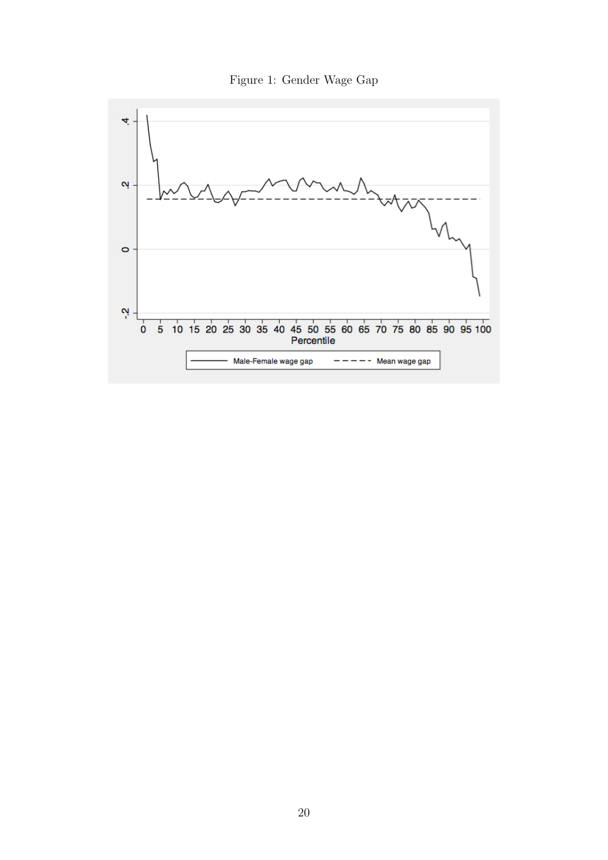

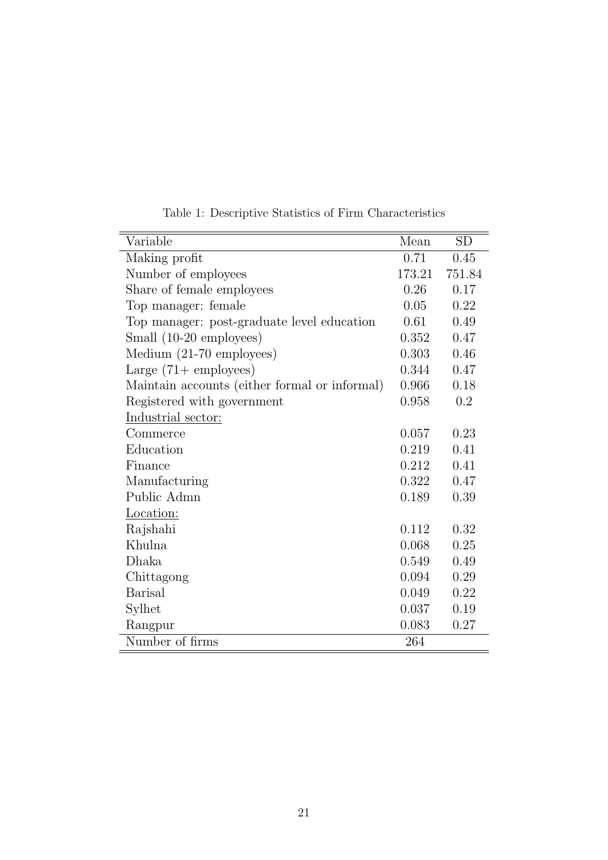| Variable                                      | Mean   | SD     |
|-----------------------------------------------|--------|--------|
| Making profit                                 | 0.71   | 0.45   |
| Number of employees                           | 173.21 | 751.84 |
| Share of female employees                     | 0.26   | 0.17   |
| Top manager: female                           | 0.05   | 0.22   |
| Top manager: post-graduate level education    | 0.61   | 0.49   |
| Small (10-20 employees)                       | 0.352  | 0.47   |
| Medium (21-70 employees)                      | 0.303  | 0.46   |
| Large $(71 + \text{ employees})$              | 0.344  | 0.47   |
| Maintain accounts (either formal or informal) | 0.966  | 0.18   |
| Registered with government                    | 0.958  | 0.2    |
| Industrial sector:                            |        |        |
| Commerce                                      | 0.057  | 0.23   |
| Education                                     | 0.219  | 0.41   |
| Finance                                       | 0.212  | 0.41   |
| Manufacturing                                 | 0.322  | 0.47   |
| Public Admn                                   | 0.189  | 0.39   |
| Location:                                     |        |        |
| Rajshahi                                      | 0.112  | 0.32   |
| Khulna                                        | 0.068  | 0.25   |
| Dhaka                                         | 0.549  | 0.49   |
| Chittagong                                    | 0.094  | 0.29   |
| <b>Barisal</b>                                | 0.049  | 0.22   |
| Sylhet                                        | 0.037  | 0.19   |
| Rangpur                                       | 0.083  | 0.27   |
| Number of firms                               | 264    |        |

Table 1: Descriptive Statistics of Firm Characteristics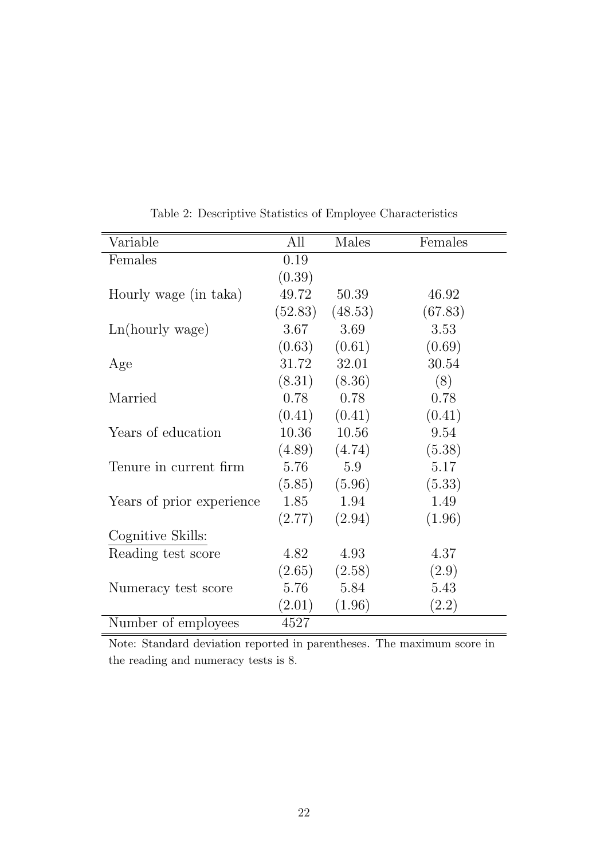| Variable                  | All     | Males   | Females |
|---------------------------|---------|---------|---------|
| Females                   | 0.19    |         |         |
|                           | (0.39)  |         |         |
| Hourly wage (in taka)     | 49.72   | 50.39   | 46.92   |
|                           | (52.83) | (48.53) | (67.83) |
| Ln(hourly wage)           | 3.67    | 3.69    | 3.53    |
|                           | (0.63)  | (0.61)  | (0.69)  |
| Age                       | 31.72   | 32.01   | 30.54   |
|                           | (8.31)  | (8.36)  | (8)     |
| Married                   | 0.78    | 0.78    | 0.78    |
|                           | (0.41)  | (0.41)  | (0.41)  |
| Years of education        | 10.36   | 10.56   | 9.54    |
|                           | (4.89)  | (4.74)  | (5.38)  |
| Tenure in current firm    | 5.76    | 5.9     | 5.17    |
|                           | (5.85)  | (5.96)  | (5.33)  |
| Years of prior experience | 1.85    | 1.94    | 1.49    |
|                           | (2.77)  | (2.94)  | (1.96)  |
| Cognitive Skills:         |         |         |         |
| Reading test score        | 4.82    | 4.93    | 4.37    |
|                           | (2.65)  | (2.58)  | (2.9)   |
| Numeracy test score       | 5.76    | 5.84    | 5.43    |
|                           | (2.01)  | (1.96)  | (2.2)   |
| Number of employees       | 4527    |         |         |

Table 2: Descriptive Statistics of Employee Characteristics

Note: Standard deviation reported in parentheses. The maximum score in the reading and numeracy tests is 8.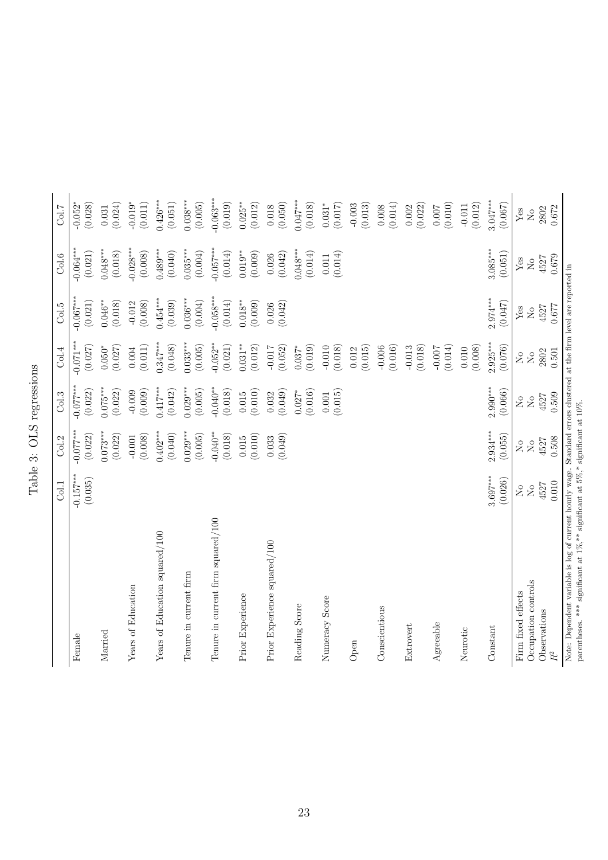Table 3: OLS regressions Table 3: OLS regressions

|                                                                                                                                                                                                                  | Col.1                   | Col.2                  | Col.3                                                                  | Col.4                                                                  | Col.5                                                                          | Col.6                                                                          | Col.7                             |
|------------------------------------------------------------------------------------------------------------------------------------------------------------------------------------------------------------------|-------------------------|------------------------|------------------------------------------------------------------------|------------------------------------------------------------------------|--------------------------------------------------------------------------------|--------------------------------------------------------------------------------|-----------------------------------|
| Female                                                                                                                                                                                                           | $-0.157***$<br>(0.035)  | $-0.077***$<br>(0.022) | $-0.077***$<br>(0.022)                                                 | $-0.071***$<br>(0.027)                                                 | $-0.067***$<br>(0.021)                                                         | $-0.064***$<br>(0.021)                                                         | (0.028)<br>$-0.052*$              |
| Married                                                                                                                                                                                                          |                         | $0.073***$<br>(0.022)  | $0.075***$<br>(0.022)                                                  | $0.050*$<br>(0.027)                                                    | $0.046**$<br>(0.018)                                                           | $0.048***$<br>(0.018)                                                          | (0.024)<br>0.031                  |
| Years of Education                                                                                                                                                                                               |                         | (0.008)<br>$-0.001$    | (0.009)<br>$-0.009$                                                    | (0.011)<br>0.004                                                       | (0.008)<br>$-0.012$                                                            | $-0.028***$<br>(0.008)                                                         | $-0.019*$<br>(0.011)              |
| Years of Education squared/100                                                                                                                                                                                   |                         | $0.402***$<br>(0.040)  | $0.417***$<br>(0.042)                                                  | $0.347***$<br>(0.048)                                                  | $0.454***$<br>(0.039)                                                          | $0.489***$<br>(0.040)                                                          | $0.426***$<br>(0.051)             |
| Tenure in current firm                                                                                                                                                                                           |                         | $0.029***$<br>(0.005)  | $0.029***$<br>(0.005)                                                  | $0.033***$<br>(0.005)                                                  | $0.036***$<br>(0.004)                                                          | $0.035***$<br>(0.004)                                                          | $0.038***$<br>(0.005)             |
| Tenure in current firm squared/100                                                                                                                                                                               |                         | $-0.040**$<br>(0.018)  | $-0.040**$<br>(0.018)                                                  | $-0.052***$<br>(0.021)                                                 | $-0.058***$<br>(0.014)                                                         | $-0.057***$<br>(0.014)                                                         | $-0.063***$<br>(0.019)            |
| Prior Experience                                                                                                                                                                                                 |                         | (0.010)<br>0.015       | (0.010)<br>0.015                                                       | $0.031***$<br>(0.012)                                                  | $0.018**$<br>(0.009)                                                           | $0.019**$<br>(0.009)                                                           | $0.025***$<br>(0.012)             |
| Prior Experience squared/100                                                                                                                                                                                     |                         | (0.049)<br>0.033       | (0.049)<br>0.032                                                       | (0.052)<br>$-0.017$                                                    | (0.042)<br>0.026                                                               | (0.042)<br>0.026                                                               | (0.050)<br>$0.018\,$              |
| Reading Score                                                                                                                                                                                                    |                         |                        | (0.016)<br>$0.027*$                                                    | (0.019)<br>$0.037*$                                                    |                                                                                | $0.048***$<br>(0.014)                                                          | $0.047***$<br>(0.018)             |
| Numeracy Score                                                                                                                                                                                                   |                         |                        | (0.015)<br>0.001                                                       | $-0.010$<br>(0.018)                                                    |                                                                                | (0.014)<br>$0.011\,$                                                           | $0.031*$<br>(0.017)               |
| Open                                                                                                                                                                                                             |                         |                        |                                                                        | (0.015)<br>0.012                                                       |                                                                                |                                                                                | (0.013)<br>$-0.003$               |
| Conscientious                                                                                                                                                                                                    |                         |                        |                                                                        | (0.016)<br>$-0.006$                                                    |                                                                                |                                                                                | (0.014)<br>0.008                  |
| Extrovert                                                                                                                                                                                                        |                         |                        |                                                                        | (0.018)<br>$-0.013$                                                    |                                                                                |                                                                                | (0.022)<br>0.002                  |
| Agreeable                                                                                                                                                                                                        |                         |                        |                                                                        | (0.014)<br>$-0.007$                                                    |                                                                                |                                                                                | (0.010)<br>0.007                  |
| Neurotic                                                                                                                                                                                                         |                         |                        |                                                                        | (0.008)<br>$0.010\,$                                                   |                                                                                |                                                                                | (0.012)<br>$-0.011$               |
| Constant                                                                                                                                                                                                         | $3.697***$<br>(0.026)   | $2.934***$<br>(0.055)  | $2.990***$<br>(0.066)                                                  | $2.925***$<br>(0.076)                                                  | $2.974***$<br>(0.047)                                                          | $3.085***$<br>(0.051)                                                          | $3.047***$<br>(0.067)             |
| Firm fixed effects                                                                                                                                                                                               | $_{\rm N_o}$            | $_{\rm N_o}^{\circ}$   | $\rm \stackrel{\circ}{\rm \stackrel{\circ}{\rm \scriptscriptstyle M}}$ | $\rm \stackrel{\circ}{\rm \stackrel{\circ}{\rm \scriptscriptstyle M}}$ | ${\rm Yes}$                                                                    | Yes                                                                            | Yes                               |
| Occupation controls<br>Observations                                                                                                                                                                              | 4527<br>$\rm N_{\rm o}$ | 4527<br>$\rm _{No}$    | 4527<br>$\overline{N}$                                                 | 2802<br>$\rm \stackrel{\circ}{X}$                                      | 4527<br>$\rm \stackrel{\circ}{\rm \stackrel{\circ}{\rm \scriptscriptstyle M}}$ | 4527<br>$\rm \stackrel{\circ}{\rm \stackrel{\circ}{\rm \scriptscriptstyle M}}$ | 2802<br>$\rm \stackrel{\circ}{X}$ |
| $\ensuremath{R^2}$                                                                                                                                                                                               | 0.010                   | 0.508                  | 0.509                                                                  | 0.501                                                                  | 0.677                                                                          | 0.679                                                                          | 0.672                             |
| Note: Dependent variable is log of current hourly wage. Standard errors clustered at the firm level are reported in<br>parentheses. *** significant at $1\%$ ,** significant at $5\%$ ,* significant at $10\%$ . |                         |                        |                                                                        |                                                                        |                                                                                |                                                                                |                                   |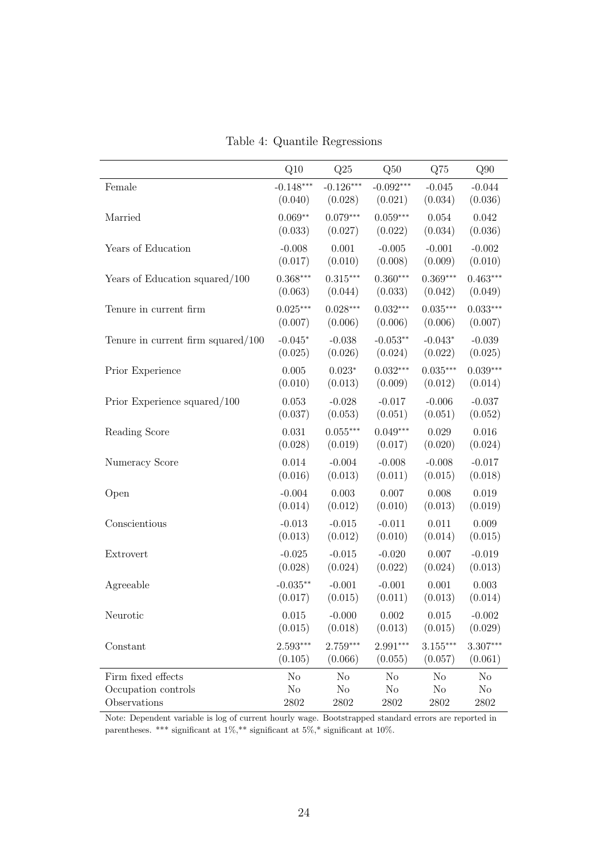|                                       | Q10         | Q25            | Q50         | Q75        | Q90            |
|---------------------------------------|-------------|----------------|-------------|------------|----------------|
| Female                                | $-0.148***$ | $-0.126***$    | $-0.092***$ | $-0.045$   | $-0.044$       |
|                                       | (0.040)     | (0.028)        | (0.021)     | (0.034)    | (0.036)        |
| Married                               | $0.069**$   | $0.079***$     | $0.059***$  | 0.054      | 0.042          |
|                                       | (0.033)     | (0.027)        | (0.022)     | (0.034)    | (0.036)        |
| Years of Education                    | $-0.008$    | 0.001          | $-0.005$    | $-0.001$   | $-0.002$       |
|                                       | (0.017)     | (0.010)        | (0.008)     | (0.009)    | (0.010)        |
| Years of Education squared/100        | $0.368***$  | $0.315***$     | $0.360***$  | $0.369***$ | $0.463***$     |
|                                       | (0.063)     | (0.044)        | (0.033)     | (0.042)    | (0.049)        |
| Tenure in current firm                | $0.025***$  | $0.028***$     | $0.032***$  | $0.035***$ | $0.033***$     |
|                                       | (0.007)     | (0.006)        | (0.006)     | (0.006)    | (0.007)        |
| Tenure in current firm squared/ $100$ | $-0.045*$   | $-0.038$       | $-0.053**$  | $-0.043*$  | $-0.039$       |
|                                       | (0.025)     | (0.026)        | (0.024)     | (0.022)    | (0.025)        |
| Prior Experience                      | 0.005       | $0.023*$       | $0.032***$  | $0.035***$ | $0.039***$     |
|                                       | (0.010)     | (0.013)        | (0.009)     | (0.012)    | (0.014)        |
| Prior Experience squared/100          | 0.053       | $-0.028$       | $-0.017$    | $-0.006$   | $-0.037$       |
|                                       | (0.037)     | (0.053)        | (0.051)     | (0.051)    | (0.052)        |
| Reading Score                         | 0.031       | $0.055***$     | $0.049***$  | 0.029      | 0.016          |
|                                       | (0.028)     | (0.019)        | (0.017)     | (0.020)    | (0.024)        |
| Numeracy Score                        | 0.014       | $-0.004$       | $-0.008$    | $-0.008$   | $-0.017$       |
|                                       | (0.016)     | (0.013)        | (0.011)     | (0.015)    | (0.018)        |
| Open                                  | $-0.004$    | 0.003          | 0.007       | 0.008      | 0.019          |
|                                       | (0.014)     | (0.012)        | (0.010)     | (0.013)    | (0.019)        |
| Conscientious                         | $-0.013$    | $-0.015$       | $-0.011$    | 0.011      | 0.009          |
|                                       | (0.013)     | (0.012)        | (0.010)     | (0.014)    | (0.015)        |
| Extrovert                             | $-0.025$    | $-0.015$       | $-0.020$    | 0.007      | $-0.019$       |
|                                       | (0.028)     | (0.024)        | (0.022)     | (0.024)    | (0.013)        |
| Agreeable                             | $-0.035**$  | $-0.001$       | $-0.001$    | 0.001      | 0.003          |
|                                       | (0.017)     | (0.015)        | (0.011)     | (0.013)    | (0.014)        |
| Neurotic                              | 0.015       | $-0.000$       | 0.002       | 0.015      | $-0.002$       |
|                                       | (0.015)     | (0.018)        | (0.013)     | (0.015)    | (0.029)        |
| Constant                              | $2.593***$  | $2.759***$     | $2.991***$  | $3.155***$ | 3.307***       |
|                                       | (0.105)     | (0.066)        | (0.055)     | (0.057)    | (0.061)        |
| Firm fixed effects                    | No          | N <sub>o</sub> | No          | No         | N <sub>o</sub> |
| Occupation controls                   | No          | No             | No          | No         | $\rm No$       |
| Observations                          | 2802        | 2802           | 2802        | 2802       | 2802           |

Table 4: Quantile Regressions

Note: Dependent variable is log of current hourly wage. Bootstrapped standard errors are reported in parentheses. \*\*\* significant at  $1\%,$ \*\* significant at  $5\%,$ \* significant at 10%.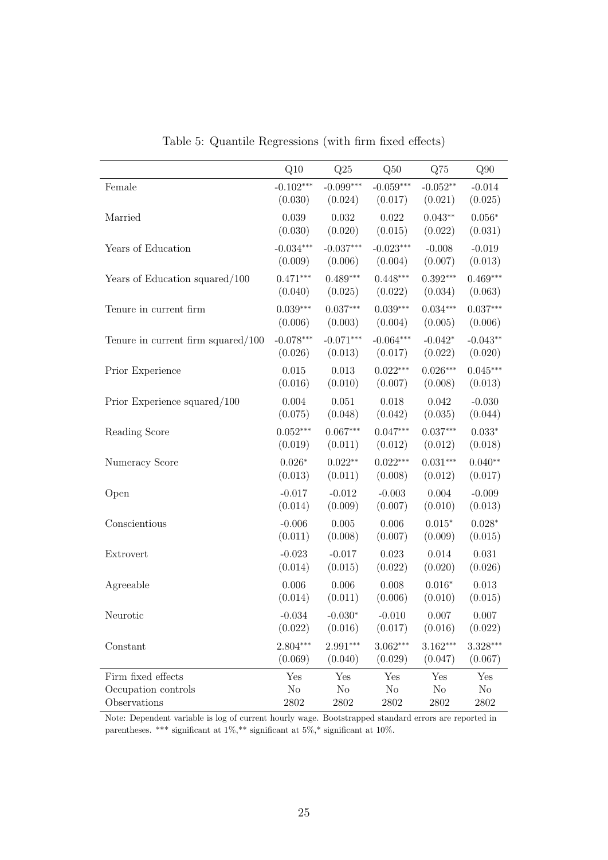|                                       | Q10         | Q25         | Q50         | Q75            | Q90        |
|---------------------------------------|-------------|-------------|-------------|----------------|------------|
| $\mbox{Female}$                       | $-0.102***$ | $-0.099***$ | $-0.059***$ | $-0.052**$     | $-0.014$   |
|                                       | (0.030)     | (0.024)     | (0.017)     | (0.021)        | (0.025)    |
| Married                               | 0.039       | 0.032       | 0.022       | $0.043**$      | $0.056*$   |
|                                       | (0.030)     | (0.020)     | (0.015)     | (0.022)        | (0.031)    |
| Years of Education                    | $-0.034***$ | $-0.037***$ | $-0.023***$ | $-0.008$       | $-0.019$   |
|                                       | (0.009)     | (0.006)     | (0.004)     | (0.007)        | (0.013)    |
| Years of Education squared/100        | $0.471***$  | $0.489***$  | $0.448***$  | $0.392***$     | $0.469***$ |
|                                       | (0.040)     | (0.025)     | (0.022)     | (0.034)        | (0.063)    |
| Tenure in current firm                | $0.039***$  | $0.037***$  | $0.039***$  | $0.034***$     | $0.037***$ |
|                                       | (0.006)     | (0.003)     | (0.004)     | (0.005)        | (0.006)    |
| Tenure in current firm squared/ $100$ | $-0.078***$ | $-0.071***$ | $-0.064***$ | $-0.042*$      | $-0.043**$ |
|                                       | (0.026)     | (0.013)     | (0.017)     | (0.022)        | (0.020)    |
| Prior Experience                      | 0.015       | 0.013       | $0.022***$  | $0.026***$     | $0.045***$ |
|                                       | (0.016)     | (0.010)     | (0.007)     | (0.008)        | (0.013)    |
| Prior Experience squared/100          | $0.004\,$   | 0.051       | 0.018       | 0.042          | $-0.030$   |
|                                       | (0.075)     | (0.048)     | (0.042)     | (0.035)        | (0.044)    |
| Reading Score                         | $0.052***$  | $0.067***$  | $0.047***$  | $0.037***$     | $0.033*$   |
|                                       | (0.019)     | (0.011)     | (0.012)     | (0.012)        | (0.018)    |
| Numeracy Score                        | $0.026*$    | $0.022**$   | $0.022***$  | $0.031***$     | $0.040**$  |
|                                       | (0.013)     | (0.011)     | (0.008)     | (0.012)        | (0.017)    |
| Open                                  | $-0.017$    | $-0.012$    | $-0.003$    | 0.004          | $-0.009$   |
|                                       | (0.014)     | (0.009)     | (0.007)     | (0.010)        | (0.013)    |
| Conscientious                         | $-0.006$    | 0.005       | 0.006       | $0.015*$       | $0.028*$   |
|                                       | (0.011)     | (0.008)     | (0.007)     | (0.009)        | (0.015)    |
| Extrovert                             | $-0.023$    | $-0.017$    | 0.023       | 0.014          | 0.031      |
|                                       | (0.014)     | (0.015)     | (0.022)     | (0.020)        | (0.026)    |
| Agreeable                             | 0.006       | 0.006       | 0.008       | $0.016*$       | 0.013      |
|                                       | (0.014)     | (0.011)     | (0.006)     | (0.010)        | (0.015)    |
| Neurotic                              | $-0.034$    | $-0.030*$   | $-0.010$    | $0.007\,$      | 0.007      |
|                                       | (0.022)     | (0.016)     | (0.017)     | (0.016)        | (0.022)    |
| Constant                              | $2.804***$  | $2.991***$  | $3.062***$  | $3.162***$     | $3.328***$ |
|                                       | (0.069)     | (0.040)     | (0.029)     | (0.047)        | (0.067)    |
| Firm fixed effects                    | Yes         | Yes         | Yes         | Yes            | Yes        |
| Occupation controls                   | No          | $\rm No$    | $\rm No$    | N <sub>o</sub> | $\rm No$   |
| Observations                          | 2802        | 2802        | 2802        | 2802           | 2802       |

Table 5: Quantile Regressions (with firm fixed effects)

Note: Dependent variable is log of current hourly wage. Bootstrapped standard errors are reported in parentheses. \*\*\* significant at 1%,\*\* significant at 5%,\* significant at 10%.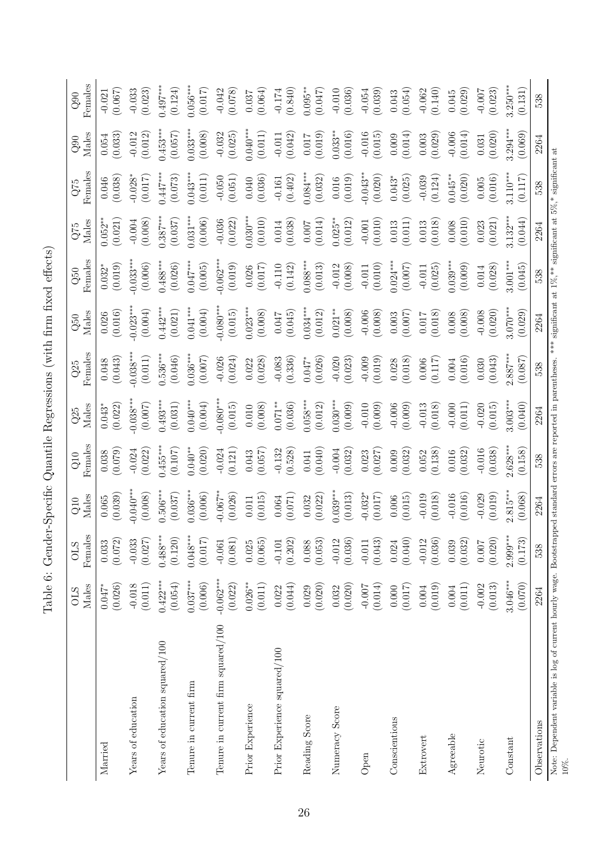|                                                                                                                                                                                                               | Males                 | Female              | Males                | Females          | Males               | Females             | Males                 | Females               | Males                 | Females                | Males                 | Females              |
|---------------------------------------------------------------------------------------------------------------------------------------------------------------------------------------------------------------|-----------------------|---------------------|----------------------|------------------|---------------------|---------------------|-----------------------|-----------------------|-----------------------|------------------------|-----------------------|----------------------|
|                                                                                                                                                                                                               | <b>OLS</b>            | <b>OLS</b>          | Q10                  | Q10              | Q25                 | Q25                 | Q50                   | Q50                   | Q75                   | Q75                    | Q90                   | Q90                  |
| Married                                                                                                                                                                                                       | (0.026)               | (0.072)             | (0.039)              | (0.079)          | (0.022)             | (0.043)             | (0.016)               | (0.019)               | (0.021)               | (0.038)                | (0.033)               | (0.067)              |
|                                                                                                                                                                                                               | $0.047*$              | 0.033               | 0.065                | 0.038            | $0.043*$            | 0.048               | 0.026                 | $0.032$ <sup>*</sup>  | $0.052**$             | 0.046                  | 0.054                 | $-0.021$             |
| Years of education                                                                                                                                                                                            | (0.011)               | $-0.033$            | $0.040**$            | $-0.024$         | $0.038***$          | $0.038***$          | $0.023**$             | $-0.033***$           | (0.008)               | $-0.028*$              | $-0.012$              | $-0.033$             |
|                                                                                                                                                                                                               | $-0.018$              | (0.027)             | (0.008)              | (0.022)          | (0.007)             | (0.011)             | (0.004)               | (0.006)               | $-0.004$              | (0.017)                | (0.012)               | (0.023)              |
| Years of education squared/100                                                                                                                                                                                | $0.422***$            | $0.488***$          | $0.506***$           | $0.455***$       | $0.493***$          | $0.536***$          | $0.442***$            | $0.488***$            | $0.387***$            | $0.447***$             | $0.453***$            | $0.497***$           |
|                                                                                                                                                                                                               | (0.054)               | (0.120)             | (0.037)              | (0.107)          | (0.031)             | (0.046)             | (0.021)               | (0.026)               | (0.037)               | (0.073)                | (0.057)               | (0.124)              |
| Tenure in current firm                                                                                                                                                                                        | $0.037***$            | $0.048***$          | $0.036***$           | $0.040**$        | $0.040***$          | $0.036***$          | $0.041***$            | $0.047***$            | $0.031***$            | $0.043***$             | $0.033***$            | $0.056***$           |
|                                                                                                                                                                                                               | (0.006)               | (0.017)             | (0.006)              | (0.020)          | (0.004)             | (0.007)             | (0.004)               | (0.005)               | (0.006)               | (0.011)                | (0.008)               | (0.017)              |
| Tenure in current firm squared/100                                                                                                                                                                            | $-0.062***$           | (0.081)             | $-0.067**$           | $-0.024$         | $0.080***$          | (0.024)             | $-0.080***$           | $-0.062***$           | $-0.036$              | $-0.050$               | $-0.032$              | $-0.042$             |
|                                                                                                                                                                                                               | (0.022)               | $-0.061$            | (0.026)              | (0.121)          | (0.015)             | $-0.026$            | (0.015)               | (0.019)               | (0.022)               | (0.051)                | (0.025)               | (0.078)              |
| Prior Experience                                                                                                                                                                                              | $0.026***$<br>(0.011) | (0.065)<br>0.025    | (0.015)<br>0.011     | (0.057)<br>0.043 | (0.008)<br>0.010    | (0.028)<br>0.022    | $0.023***$<br>(0.008) | (0.017)<br>0.026      | $0.030***$<br>(0.010) | $(0.040)$<br>$(0.036)$ | $0.040***$<br>(0.011) | (0.064)<br>$0.037\,$ |
| Prior Experience squared/100                                                                                                                                                                                  | (0.044)               | (0.202)             | (0.071)              | (0.528)          | $0.071***$          | (0.336)             | (0.045)               | $-0.110$              | (0.038)               | (0.402)                | (0.042)               | (0.840)              |
|                                                                                                                                                                                                               | 0.022                 | $-0.101$            | 0.064                | $-0.132$         | (0.036)             | $-0.083$            | $7\bar{F}0.0$         | (0.142)               | $0.014\,$             | $-0.161$               | $-0.011$              | $-0.174$             |
| Reading Score                                                                                                                                                                                                 | (0.020)               | (0.053)             | (0.022)              | (0.040)          | $0.058***$          | (0.026)             | $0.034***$            | $0.088***$            | (0.014)               | $0.084***$             | (0.019)               | $0.095***$           |
|                                                                                                                                                                                                               | 0.029                 | 0.088               | 0.032                | 0.041            | (0.012)             | $0.047*$            | (0.012)               | (0.013)               | 0.007                 | (0.032)                | 0.017                 | (0.047)              |
| Numeracy Score                                                                                                                                                                                                | (0.020)               | (0.036)             | $0.039***$           | $-0.004$         | $0.030***$          | (0.023)             | $0.021***$            | $-0.012$              | $0.025***$            | (0.019)                | $0.033***$            | $-0.010$             |
|                                                                                                                                                                                                               | 0.032                 | $-0.012$            | (0.013)              | (0.032)          | (0.009)             | $-0.020$            | (0.008)               | (0.008)               | (0.012)               | 0.016                  | (0.016)               | (0.036)              |
| Open                                                                                                                                                                                                          | (0.014)<br>$-0.007$   | (0.043)<br>$-0.011$ | $-0.032*$<br>(0.017) | (0.027)<br>0.023 | $-0.010$<br>(0.009) | (0.019)<br>$-0.009$ | (0.008)<br>$-0.006$   | $-0.011$<br>$(0.010)$ | $(0.010)$<br>$-0.001$ | $-0.043**$<br>(0.020)  | $-0.016$<br>(0.015)   | $-0.054$<br>(0.039)  |
| Conscientious                                                                                                                                                                                                 | (0.017)               | (0.040)             | (0.015)              | (0.032)          | $-0.006$            | (0.018)             | (0.007)               | $0.024***$            | $\,0.013$             | $0.043*$               | (0.014)               | (0.054)              |
|                                                                                                                                                                                                               | 0.000                 | 0.024               | 0.006                | 0.009            | (0.009)             | 0.028               | 0.003                 | (0.007)               | (0.011)               | (0.025)                | 0.009                 | 0.043                |
| Extrovert                                                                                                                                                                                                     | (0.019)               | (0.036)             | (0.018)              | (0.138)          | $-0.013$            | (7117)              | (0.018)               | (0.025)               | (0.018)               | $-0.039$               | (0.029)               | (0.140)              |
|                                                                                                                                                                                                               | 0.004                 | $-0.012$            | $-0.019$             | 0.052            | (0.018)             | 0.006               | $0.017\,$             | $-0.011$              | 0.013                 | (0.124)                | 0.003                 | $-0.062$             |
| Agreeable                                                                                                                                                                                                     | (0.011)               | (0.032)             | (0.016)              | (0.032)          | $-0.000$            | (0.016)             | (0.008)               | $0.039***$            | (0.010)               | $0.045***$             | $-0.006$              | (0.029)              |
|                                                                                                                                                                                                               | 0.004                 | 0.039               | $-0.016$             | 0.016            | (0.011)             | 0.004               | 0.008                 | (0.009)               | 0.008                 | (0.020)                | (0.014)               | 0.045                |
| Neurotic                                                                                                                                                                                                      | (0.013)               | (0.020)             | (0.019)              | $-0.016$         | $-0.020$            | (0.043)             | (0.020)               | (0.028)               | (0.021)               | (0.016)                | (0.020)               | (0.023)              |
|                                                                                                                                                                                                               | $-0.002$              | 0.007               | $-0.029$             | (0.038)          | (0.015)             | 0.030               | $-0.008$              | 0.014                 | 0.023                 | 0.005                  | 0.031                 | $-0.007$             |
| Constant                                                                                                                                                                                                      | $3.046***$            | $2.999***$          | $2.815***$           | (0.158)          | $3.003***$          | $2.887***$          | $3.070***$            | $3.001***$            | $3.132***$            | $3.110***$             | $3.294***$            | $3.250***$           |
|                                                                                                                                                                                                               | (0.070)               | (0.173)             | (0.068)              | $2.628**$        | (0.040)             | (0.087)             | (0.029)               | (0.045)               | (0.044)               | (0.117)                | (0.069)               | (0.131)              |
| Observations                                                                                                                                                                                                  | 2264                  | 538                 | 2264                 | 538              | 2264                | 538                 | 2264                  | 538                   | 2264                  | 538                    | 2264                  | 538                  |
| Note: Dependent variable is log of current hourly wage. Bootstrapped standard errors are reported in parentheses. *** significant at 1%,** significant at 5%,* significant at $5\%$ ,* significant at<br>10%. |                       |                     |                      |                  |                     |                     |                       |                       |                       |                        |                       |                      |

Table 6: Gender-Specific Quantile Regressions (with firm fixed effects) Table 6: Gender-Specific Quantile Regressions (with firm fixed effects)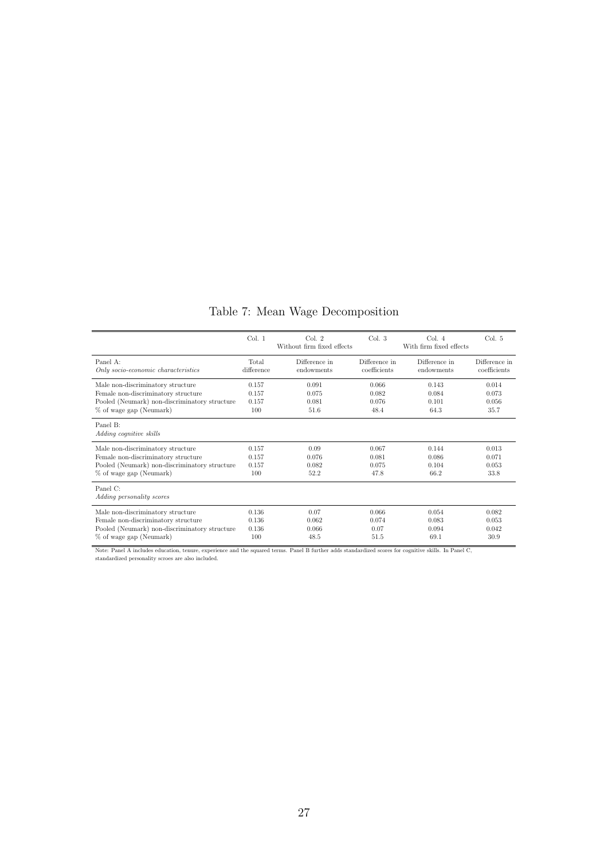## Table 7: Mean Wage Decomposition

|                                               | Col. 1     | Col. 2<br>Without firm fixed effects | Col. 3        | Col. 4<br>With firm fixed effects | Col. 5        |
|-----------------------------------------------|------------|--------------------------------------|---------------|-----------------------------------|---------------|
| Panel A:                                      | Total      | Difference in                        | Difference in | Difference in                     | Difference in |
| Only socio-economic characteristics           | difference | endowments                           | coefficients  | endowments                        | coefficients  |
| Male non-discriminatory structure             | 0.157      | 0.091                                | 0.066         | 0.143                             | 0.014         |
| Female non-discriminatory structure           | 0.157      | 0.075                                | 0.082         | 0.084                             | 0.073         |
| Pooled (Neumark) non-discriminatory structure | 0.157      | 0.081                                | 0.076         | 0.101                             | 0.056         |
| % of wage gap (Neumark)                       | 100        | 51.6                                 | 48.4          | 64.3                              | 35.7          |
| Panel B:<br>Adding cognitive skills           |            |                                      |               |                                   |               |
| Male non-discriminatory structure             | 0.157      | 0.09                                 | 0.067         | 0.144                             | 0.013         |
| Female non-discriminatory structure           | 0.157      | 0.076                                | 0.081         | 0.086                             | 0.071         |
| Pooled (Neumark) non-discriminatory structure | 0.157      | 0.082                                | 0.075         | 0.104                             | 0.053         |
| % of wage gap (Neumark)                       | 100        | 52.2                                 | 47.8          | 66.2                              | 33.8          |
| Panel C:<br>Adding personality scores         |            |                                      |               |                                   |               |
| Male non-discriminatory structure             | 0.136      | 0.07                                 | 0.066         | 0.054                             | 0.082         |
| Female non-discriminatory structure           | 0.136      | 0.062                                | 0.074         | 0.083                             | 0.053         |
| Pooled (Neumark) non-discriminatory structure | 0.136      | 0.066                                | 0.07          | 0.094                             | 0.042         |
| % of wage gap (Neumark)                       | 100        | 48.5                                 | 51.5          | 69.1                              | 30.9          |

Note: Panel A includes education, tenure, experience and the squared terms. Panel B further adds standardized scores for cognitive skills. In Panel C, standardized personality scroes are also included.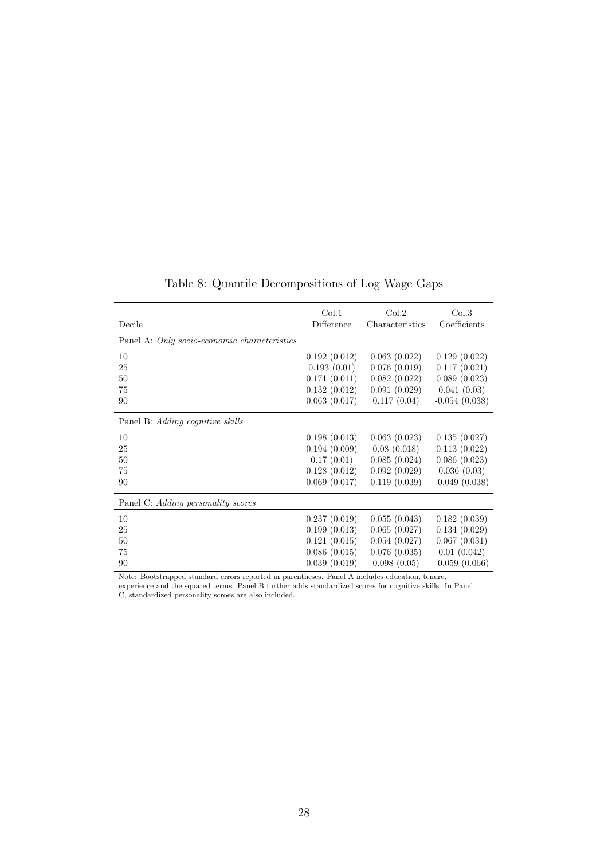|                                              | Col.1        | Col.2           | Col.3           |
|----------------------------------------------|--------------|-----------------|-----------------|
| Decile                                       | Difference   | Characteristics | Coefficients    |
| Panel A: Only socio-economic characteristics |              |                 |                 |
| 10                                           | 0.192(0.012) | 0.063(0.022)    | 0.129(0.022)    |
| 25                                           | 0.193(0.01)  | 0.076(0.019)    | 0.117(0.021)    |
| 50                                           | 0.171(0.011) | 0.082(0.022)    | 0.089(0.023)    |
| 75                                           | 0.132(0.012) | 0.091(0.029)    | 0.041(0.03)     |
| 90                                           | 0.063(0.017) | 0.117(0.04)     | $-0.054(0.038)$ |
| Panel B: Adding cognitive skills             |              |                 |                 |
| 10                                           | 0.198(0.013) | 0.063(0.023)    | 0.135(0.027)    |
| 25                                           | 0.194(0.009) | 0.08(0.018)     | 0.113(0.022)    |
| 50                                           | 0.17(0.01)   | 0.085(0.024)    | 0.086(0.023)    |
| 75                                           | 0.128(0.012) | 0.092(0.029)    | 0.036(0.03)     |
| 90                                           | 0.069(0.017) | 0.119(0.039)    | $-0.049(0.038)$ |
| Panel C: Adding personality scores           |              |                 |                 |
| 10                                           | 0.237(0.019) | 0.055(0.043)    | 0.182(0.039)    |
| 25                                           | 0.199(0.013) | 0.065(0.027)    | 0.134(0.029)    |
| 50                                           | 0.121(0.015) | 0.054(0.027)    | 0.067(0.031)    |
| 75                                           | 0.086(0.015) | 0.076(0.035)    | 0.01(0.042)     |
| 90                                           | 0.039(0.019) | 0.098(0.05)     | $-0.059(0.066)$ |

Table 8: Quantile Decompositions of Log Wage Gaps

Note: Bootstrapped standard errors reported in parentheses. Panel A includes education, tenure, experience and the squared terms. Panel B further adds standardized scores for cognitive skills. In Panel C, standardized personality scroes are also included.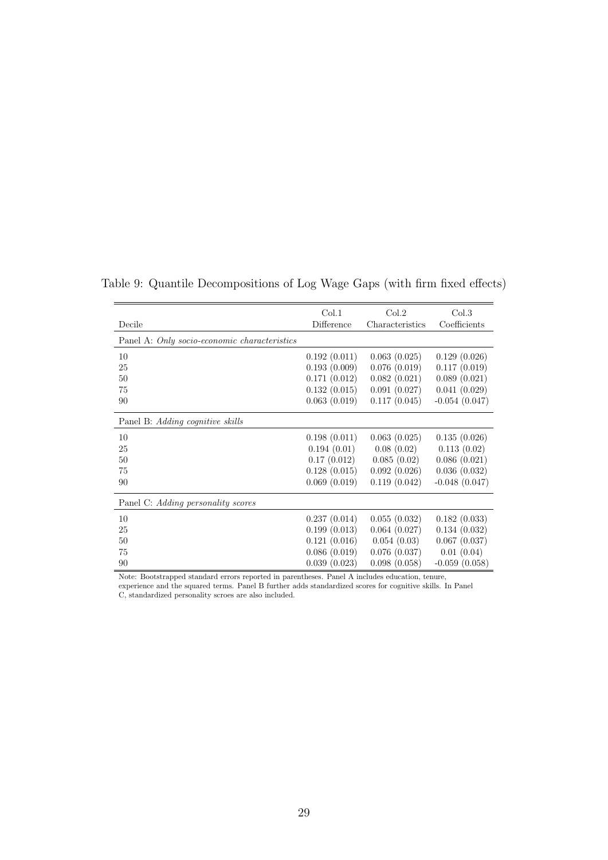|                                              | Col.1        | Col.2           | Col.3           |
|----------------------------------------------|--------------|-----------------|-----------------|
| Decile                                       | Difference   | Characteristics | Coefficients    |
| Panel A: Only socio-economic characteristics |              |                 |                 |
| 10                                           | 0.192(0.011) | 0.063(0.025)    | 0.129(0.026)    |
| 25                                           | 0.193(0.009) | 0.076(0.019)    | 0.117(0.019)    |
| 50                                           | 0.171(0.012) | 0.082(0.021)    | 0.089(0.021)    |
| 75                                           | 0.132(0.015) | 0.091(0.027)    | 0.041(0.029)    |
| 90                                           | 0.063(0.019) | 0.117(0.045)    | $-0.054(0.047)$ |
| Panel B: Adding cognitive skills             |              |                 |                 |
| 10                                           | 0.198(0.011) | 0.063(0.025)    | 0.135(0.026)    |
| 25                                           | 0.194(0.01)  | 0.08(0.02)      | 0.113(0.02)     |
| 50                                           | 0.17(0.012)  | 0.085(0.02)     | 0.086(0.021)    |
| 75                                           | 0.128(0.015) | 0.092(0.026)    | 0.036(0.032)    |
| 90                                           | 0.069(0.019) | 0.119(0.042)    | $-0.048(0.047)$ |
| Panel C: Adding personality scores           |              |                 |                 |
| 10                                           | 0.237(0.014) | 0.055(0.032)    | 0.182(0.033)    |
| 25                                           | 0.199(0.013) | 0.064(0.027)    | 0.134(0.032)    |
| 50                                           | 0.121(0.016) | 0.054(0.03)     | 0.067(0.037)    |
| 75                                           | 0.086(0.019) | 0.076(0.037)    | 0.01(0.04)      |
| 90                                           | 0.039(0.023) | 0.098(0.058)    | $-0.059(0.058)$ |

Table 9: Quantile Decompositions of Log Wage Gaps (with firm fixed effects)

Note: Bootstrapped standard errors reported in parentheses. Panel A includes education, tenure, experience and the squared terms. Panel B further adds standardized scores for cognitive skills. In Panel C, standardized personality scroes are also included.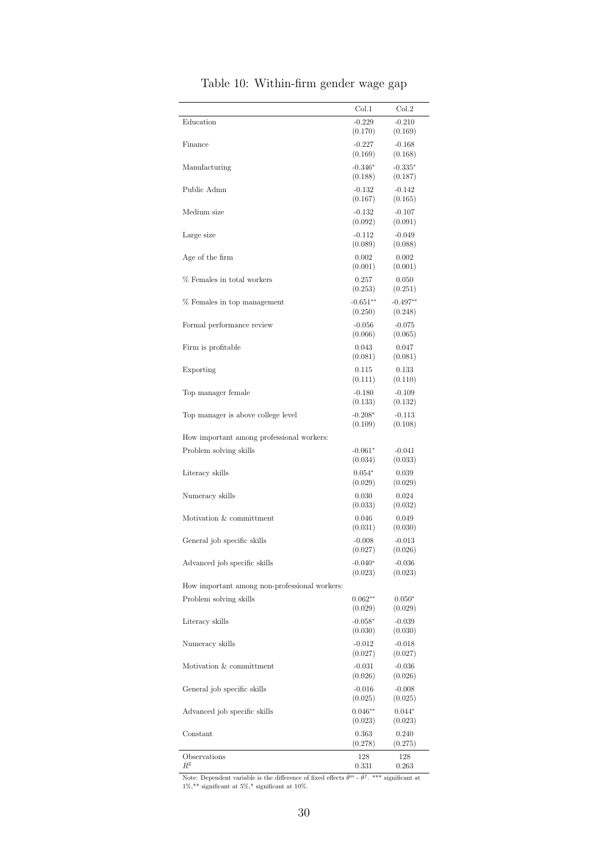|                                               | Col.1                | Col.2                |
|-----------------------------------------------|----------------------|----------------------|
| Education                                     | $-0.229$             | $-0.210$             |
|                                               | (0.170)              | (0.169)              |
| Finance                                       | $-0.227$             | $-0.168$             |
|                                               | (0.169)<br>$-0.346*$ | (0.168)              |
| Manufacturing                                 | (0.188)              | $-0.335*$<br>(0.187) |
| Public Admn                                   | $-0.132$             | $-0.142$             |
|                                               | (0.167)              | (0.165)              |
| Medium size                                   | $-0.132$             | $-0.107$             |
|                                               | (0.092)              | (0.091)              |
| Large size                                    | $-0.112$             | $-0.049$             |
|                                               | (0.089)              | (0.088)              |
| Age of the firm                               | 0.002<br>(0.001)     | 0.002<br>(0.001)     |
| % Females in total workers                    | 0.257                | 0.050                |
|                                               | (0.253)              | (0.251)              |
| % Females in top management                   | $-0.651**$           | $-0.497**$           |
|                                               | (0.250)              | (0.248)              |
| Formal performance review                     | $-0.056$             | $-0.075$             |
|                                               | (0.066)              | (0.065)              |
| Firm is profitable                            | 0.043<br>(0.081)     | 0.047<br>(0.081)     |
| Exporting                                     | 0.115                | 0.133                |
|                                               | (0.111)              | (0.110)              |
| Top manager female                            | $-0.180$             | $-0.109$             |
|                                               | (0.133)              | (0.132)              |
| Top manager is above college level            | $-0.208*$            | $-0.113$             |
|                                               | (0.109)              | (0.108)              |
| How important among professional workers:     |                      |                      |
| Problem solving skills                        | $-0.061*$<br>(0.034) | $-0.041$<br>(0.033)  |
| Literacy skills                               | $0.054*$             | 0.039                |
|                                               | (0.029)              | (0.029)              |
| Numeracy skills                               | 0.030                | 0.024                |
|                                               | (0.033)              | (0.032)              |
| Motivation & committment                      | 0.046                | 0.049                |
|                                               | (0.031)              | (0.030)              |
| General job specific skills                   | $-0.008$<br>(0.027)  | $-0.013$<br>(0.026)  |
| Advanced job specific skills                  | $-0.040*$            | $-0.036$             |
|                                               | (0.023)              | (0.023)              |
| How important among non-professional workers: |                      |                      |
| Problem solving skills                        | $0.062**$            | $0.050*$             |
|                                               | (0.029)              | (0.029)              |
| Literacy skills                               | $-0.058*$            | $-0.039$             |
|                                               | (0.030)              | (0.030)              |
| Numeracy skills                               | $-0.012$<br>(0.027)  | $-0.018$<br>(0.027)  |
| Motivation & committment                      | $-0.031$             | $-0.036$             |
|                                               | (0.026)              | (0.026)              |
| General job specific skills                   | $-0.016$             | $-0.008$             |
|                                               | (0.025)              | (0.025)              |
| Advanced job specific skills                  | $0.046**$            | $0.044*$             |
|                                               | (0.023)              | (0.023)              |
| Constant                                      | 0.363<br>(0.278)     | 0.240<br>(0.275)     |
| Observations                                  | 128                  | 128                  |
| $R^2$                                         | 0.331                | 0.263                |

### Table 10: Within-firm gender wage gap

Note: Dependent variable is the difference of fixed effects  $\hat{\theta}^m$  -  $\hat{\theta}^f$ . \*\*\* significant at  $1\%, **$  significant at  $5\%, *$  significant at 10%.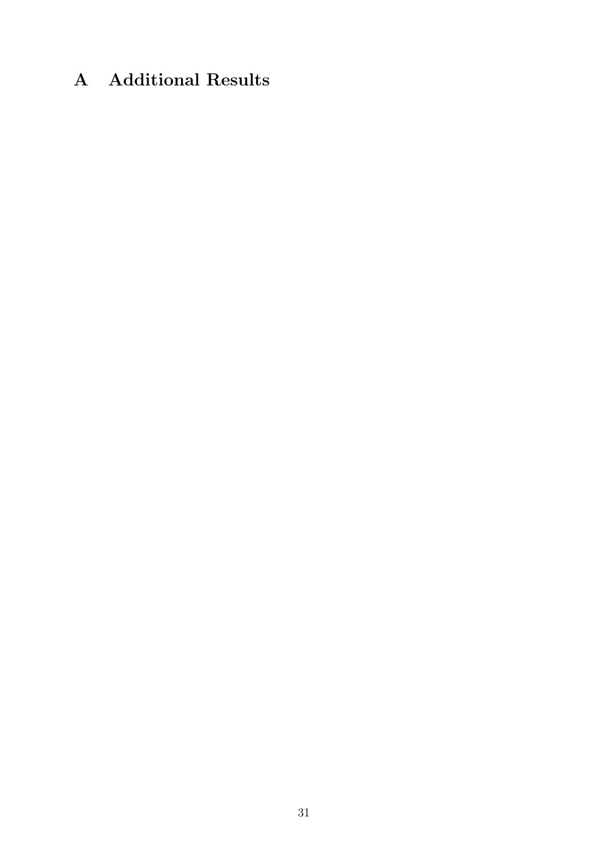## A Additional Results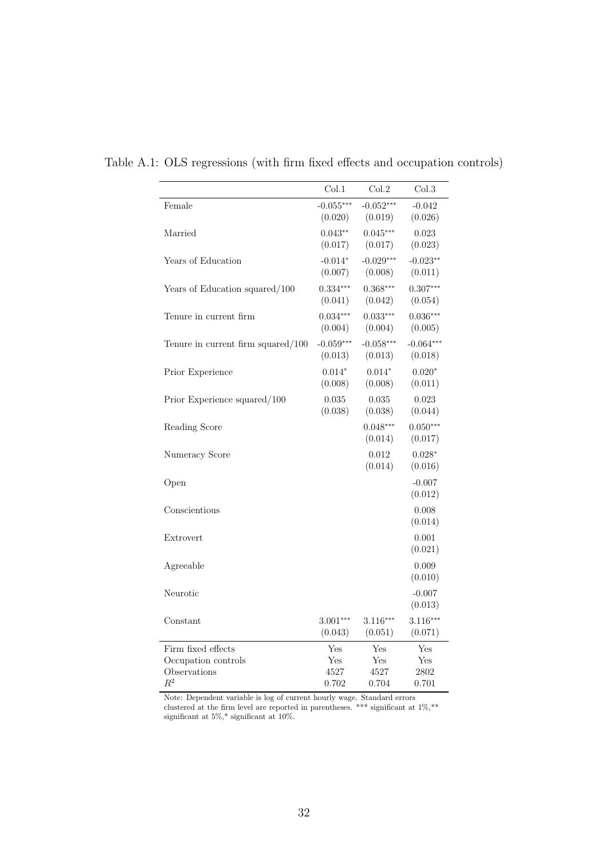|                                       | Col.1       | Col.2                 | Col.3                 |
|---------------------------------------|-------------|-----------------------|-----------------------|
| Female                                | $-0.055***$ | $-0.052***$           | $-0.042$              |
|                                       | (0.020)     | (0.019)               | (0.026)               |
| Married                               | $0.043**$   | $0.045***$            | 0.023                 |
|                                       | (0.017)     | (0.017)               | (0.023)               |
| Years of Education                    | $-0.014*$   | $-0.029***$           | $-0.023**$            |
|                                       | (0.007)     | (0.008)               | (0.011)               |
| Years of Education squared/100        | $0.334***$  | $0.368***$            | $0.307***$            |
|                                       | (0.041)     | (0.042)               | (0.054)               |
| Tenure in current firm                | $0.034***$  | $0.033***$            | $0.036***$            |
|                                       | (0.004)     | (0.004)               | (0.005)               |
| Tenure in current firm squared/ $100$ | $-0.059***$ | $-0.058***$           | $-0.064***$           |
|                                       | (0.013)     | (0.013)               | (0.018)               |
| Prior Experience                      | $0.014*$    | $0.014*$              | $0.020*$              |
|                                       | (0.008)     | (0.008)               | (0.011)               |
| Prior Experience squared/100          | 0.035       | 0.035                 | 0.023                 |
|                                       | (0.038)     | (0.038)               | (0.044)               |
| Reading Score                         |             | $0.048***$<br>(0.014) | $0.050***$<br>(0.017) |
| Numeracy Score                        |             | 0.012<br>(0.014)      | $0.028*$<br>(0.016)   |
| Open                                  |             |                       | $-0.007$<br>(0.012)   |
| Conscientious                         |             |                       | 0.008<br>(0.014)      |
| Extrovert                             |             |                       | 0.001<br>(0.021)      |
| Agreeable                             |             |                       | 0.009<br>(0.010)      |
| Neurotic                              |             |                       | $-0.007$<br>(0.013)   |
| Constant                              | $3.001***$  | $3.116***$            | $3.116***$            |
|                                       | (0.043)     | (0.051)               | (0.071)               |
| Firm fixed effects                    | Yes         | Yes                   | Yes                   |
| Occupation controls                   | Yes         | Yes                   | Yes                   |
| Observations                          | 4527        | 4527                  | 2802                  |
| $R^2$                                 | 0.702       | 0.704                 | 0.701                 |

Table A.1: OLS regressions (with firm fixed effects and occupation controls)

Note: Dependent variable is log of current hourly wage. Standard errors clustered at the firm level are reported in parentheses. \*\*\* significant at 1%,\*\* significant at 5%,\* significant at 10%.